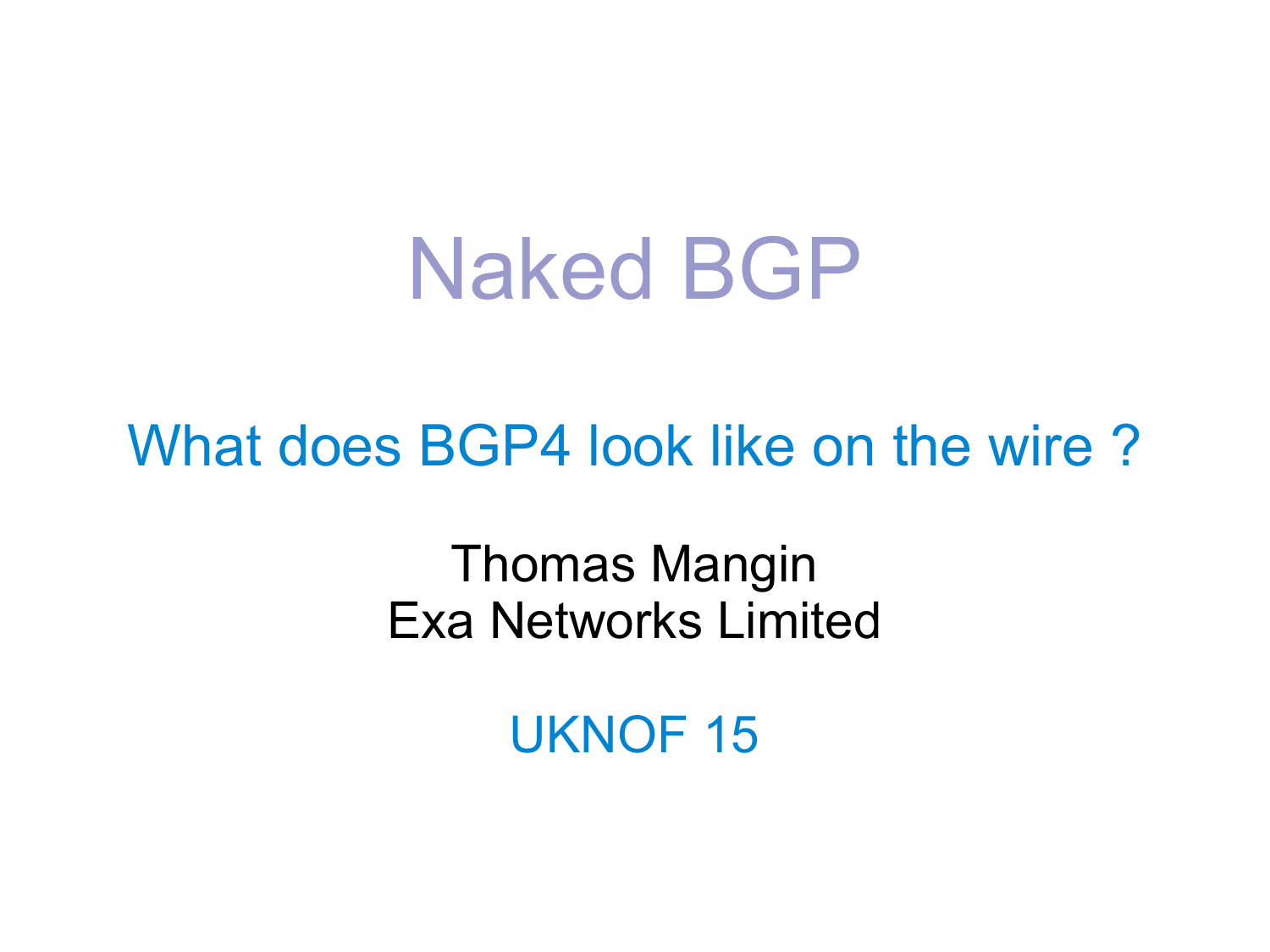# Naked BGP

What does BGP4 look like on the wire ?

Thomas Mangin Exa Networks Limited

UKNOF 15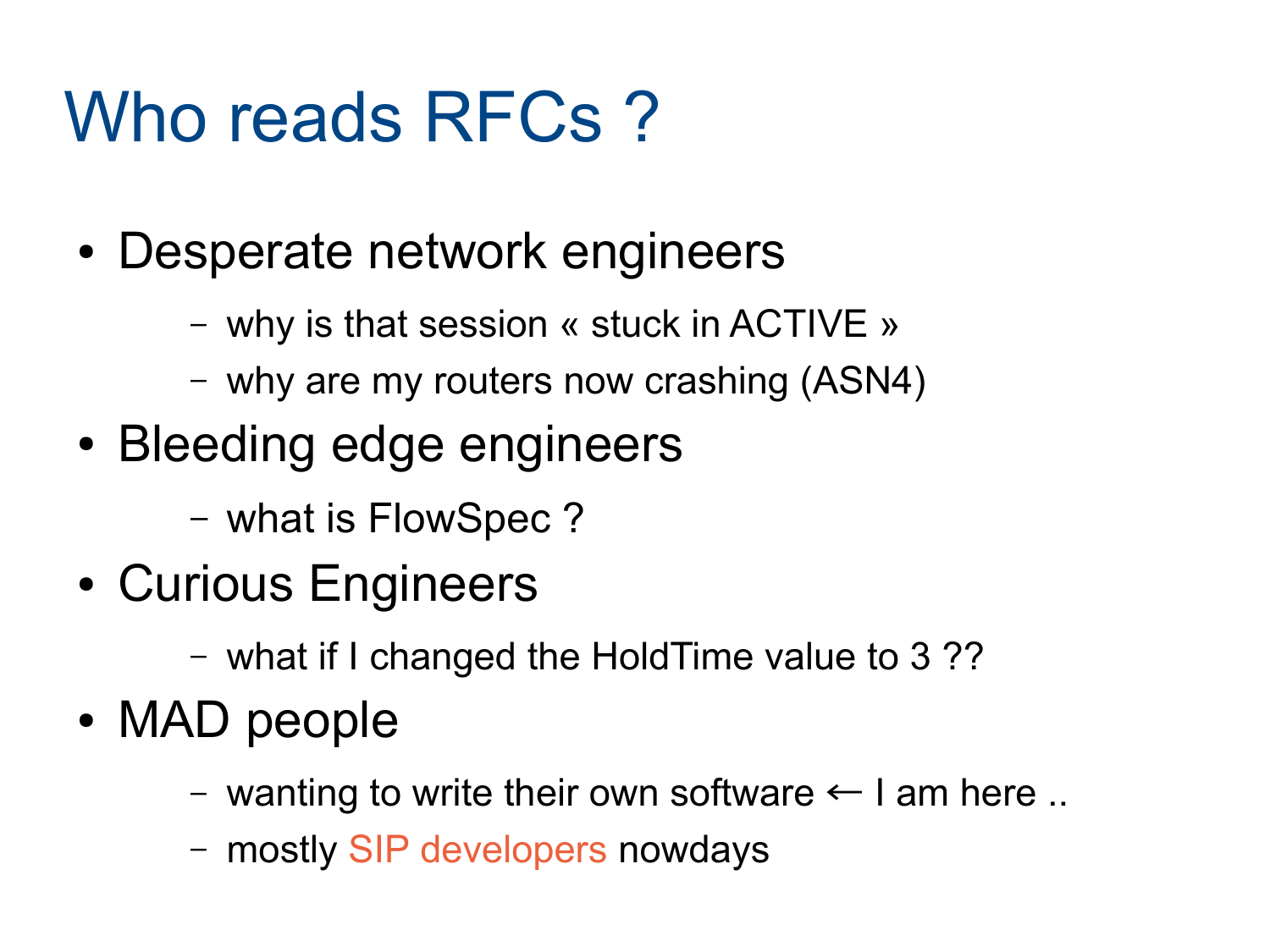#### Who reads RFCs?

- Desperate network engineers
	- why is that session « stuck in ACTIVE »
	- why are my routers now crashing (ASN4)
- Bleeding edge engineers
	- what is FlowSpec ?
- Curious Engineers
	- what if I changed the HoldTime value to 3 ??
- MAD people
	- wanting to write their own software  $\leftarrow$  I am here ..
	- mostly SIP developers nowdays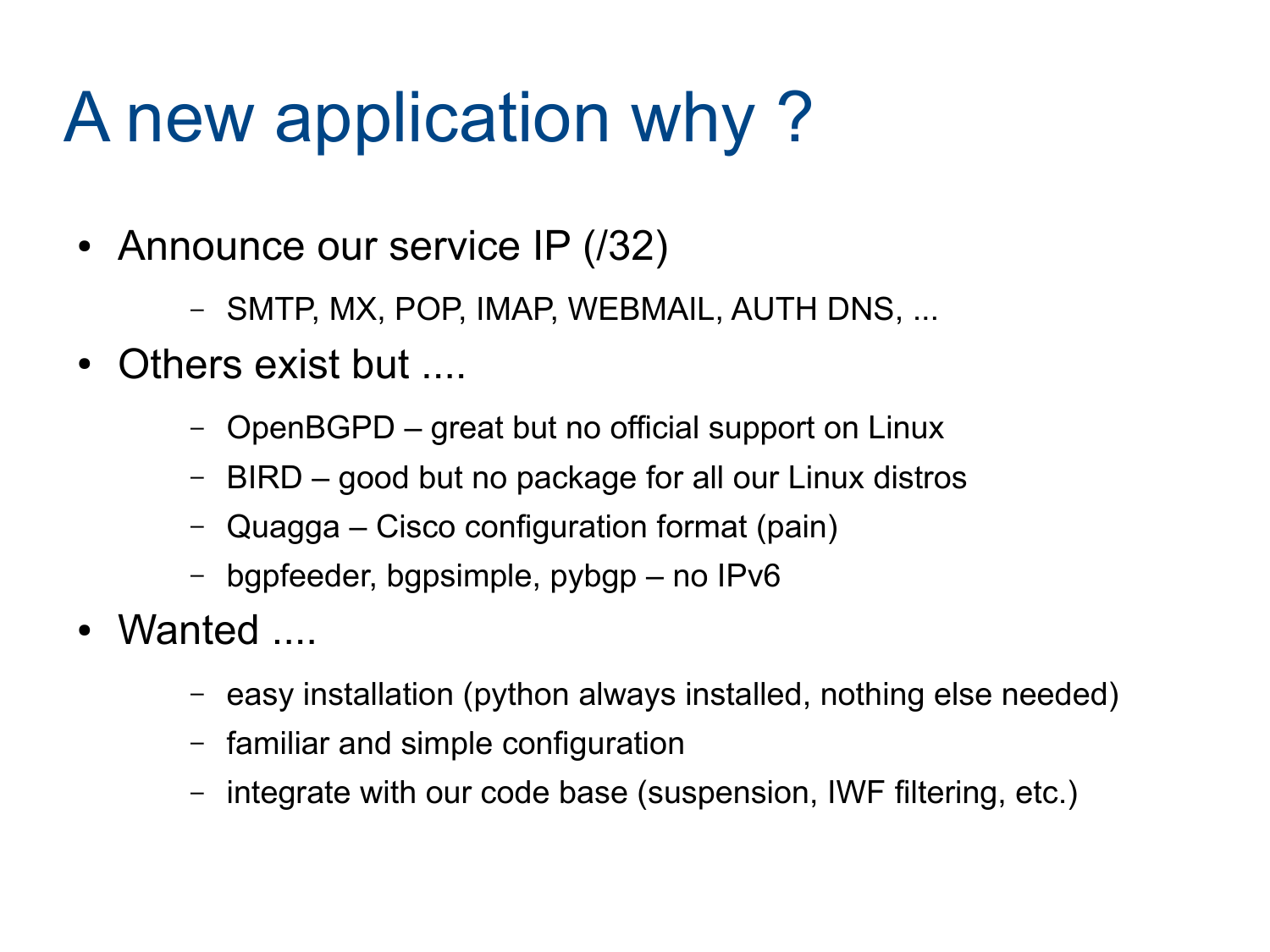#### A new application why ?

- Announce our service IP (/32)
	- SMTP, MX, POP, IMAP, WEBMAIL, AUTH DNS, ...
- Others exist but ....
	- OpenBGPD great but no official support on Linux
	- BIRD good but no package for all our Linux distros
	- Quagga Cisco configuration format (pain)
	- bgpfeeder, bgpsimple, pybgp no IPv6
- Wanted ....
	- easy installation (python always installed, nothing else needed)
	- familiar and simple configuration
	- integrate with our code base (suspension, IWF filtering, etc.)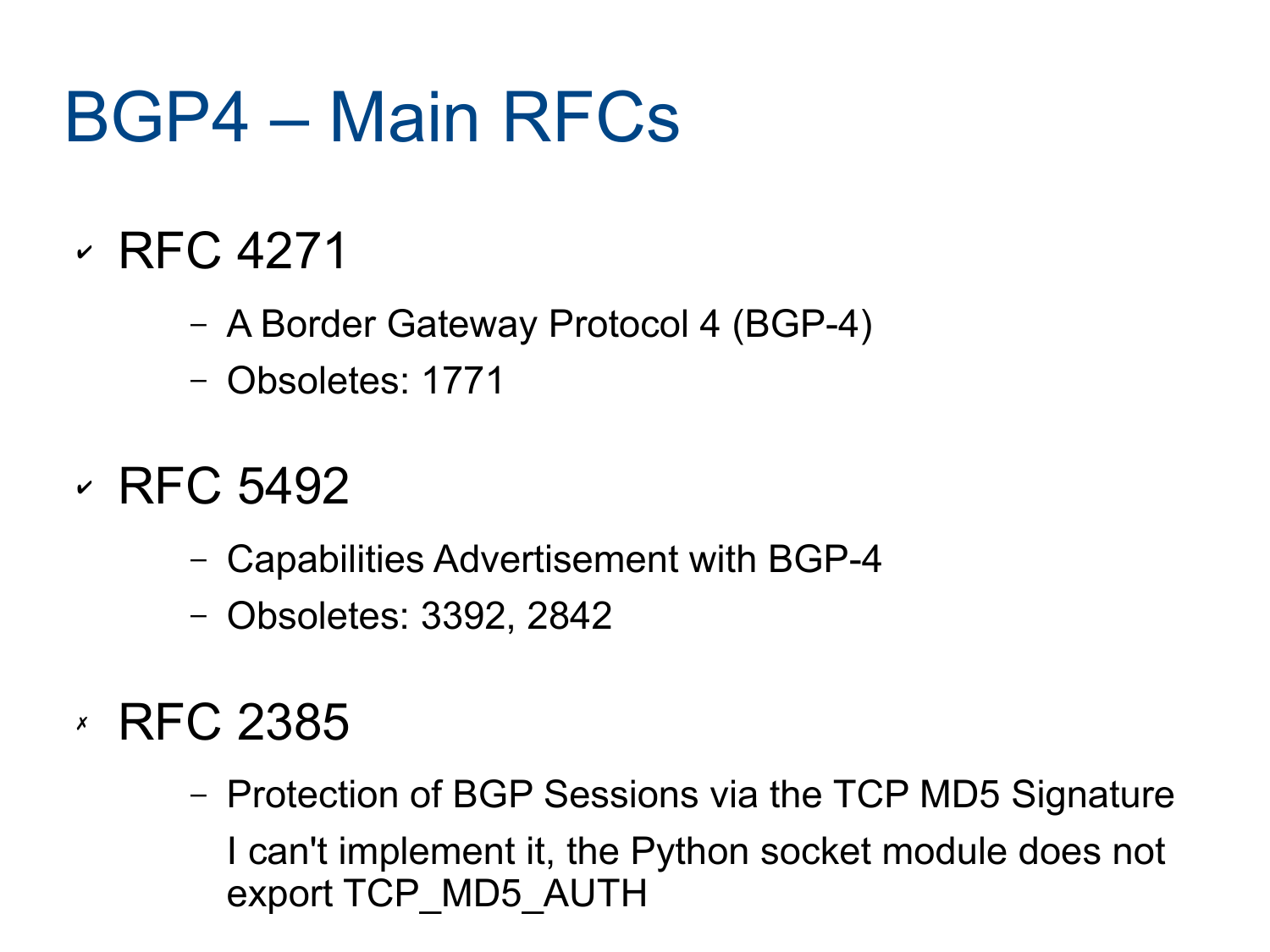#### BGP4 – Main RFCs

- ✔ RFC 4271
	- A Border Gateway Protocol 4 (BGP-4)
	- Obsoletes: 1771
- $\cdot$  RFC 5492
	- Capabilities Advertisement with BGP-4
	- Obsoletes: 3392, 2842
- ✗ RFC 2385
	- Protection of BGP Sessions via the TCP MD5 Signature I can't implement it, the Python socket module does not export TCP\_MD5\_AUTH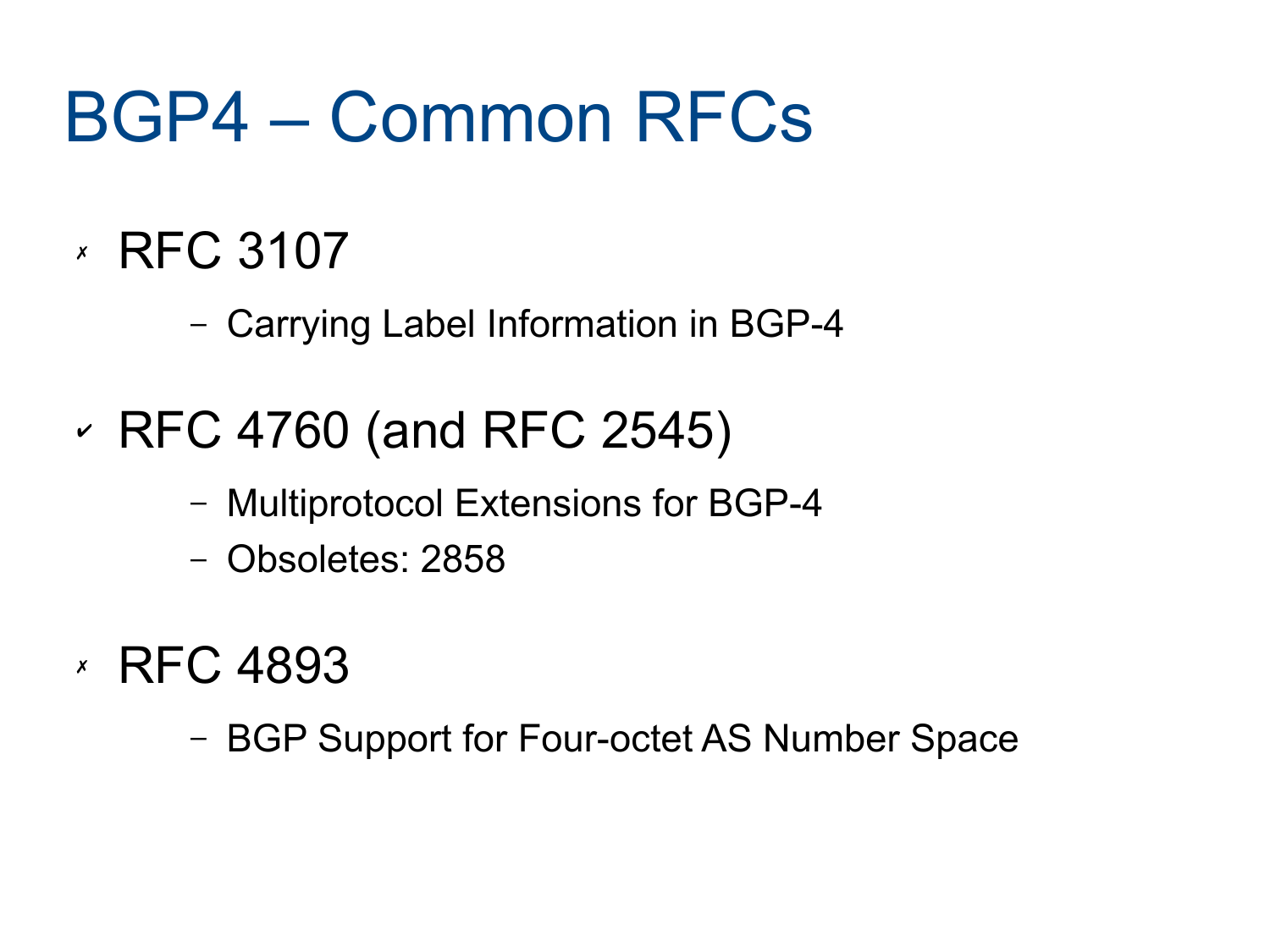#### BGP4 – Common RFCs

- ✗ RFC 3107
	- Carrying Label Information in BGP-4
- ✔ RFC 4760 (and RFC 2545)
	- Multiprotocol Extensions for BGP-4
	- Obsoletes: 2858
- ✗ RFC 4893
	- BGP Support for Four-octet AS Number Space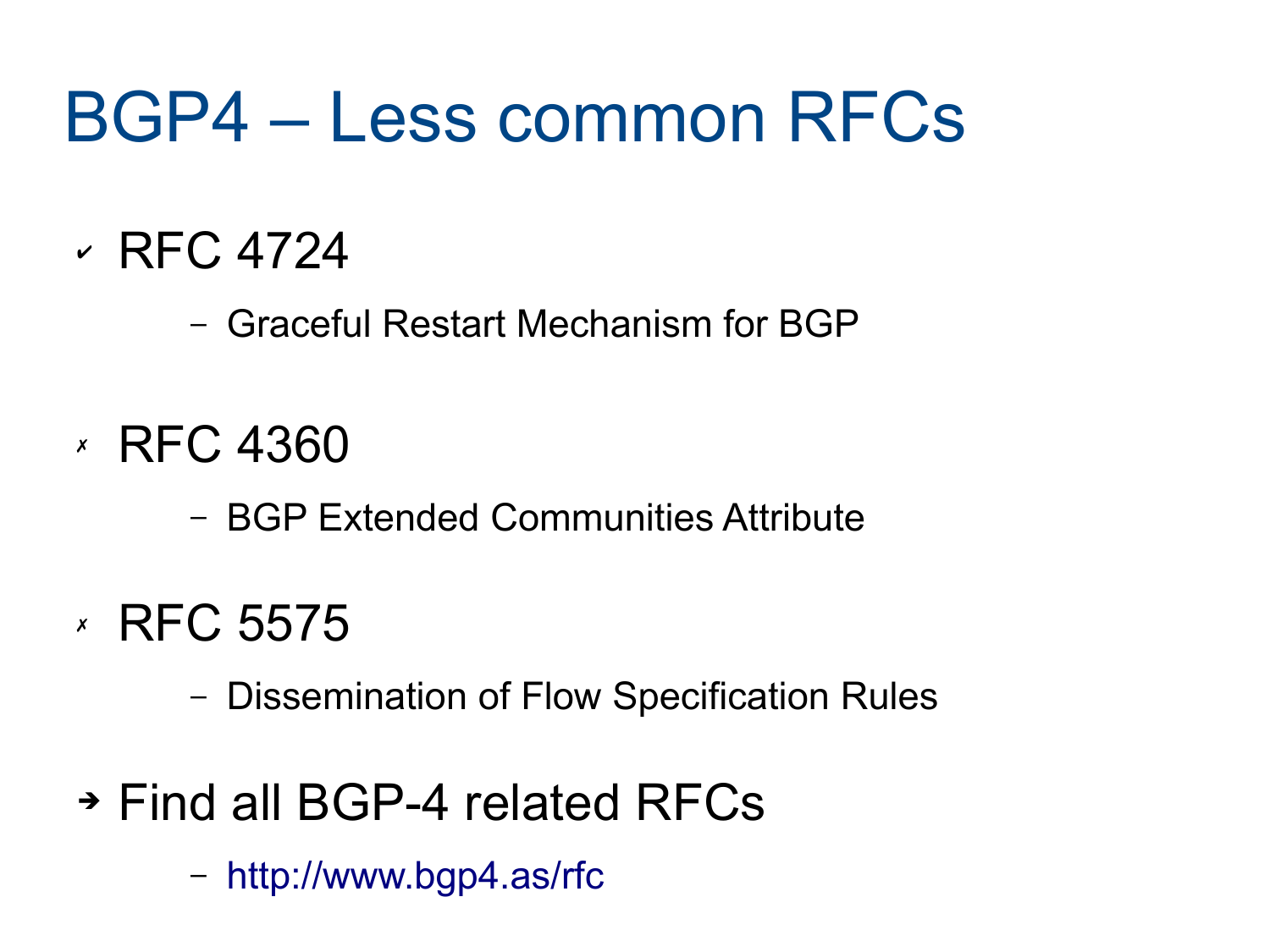#### BGP4 – Less common RFCs

✔ RFC 4724

– Graceful Restart Mechanism for BGP

- ✗ RFC 4360
	- BGP Extended Communities Attribute
- ✗ RFC 5575
	- Dissemination of Flow Specification Rules
- ➔ Find all BGP-4 related RFCs
	- <http://www.bgp4.as/rfc>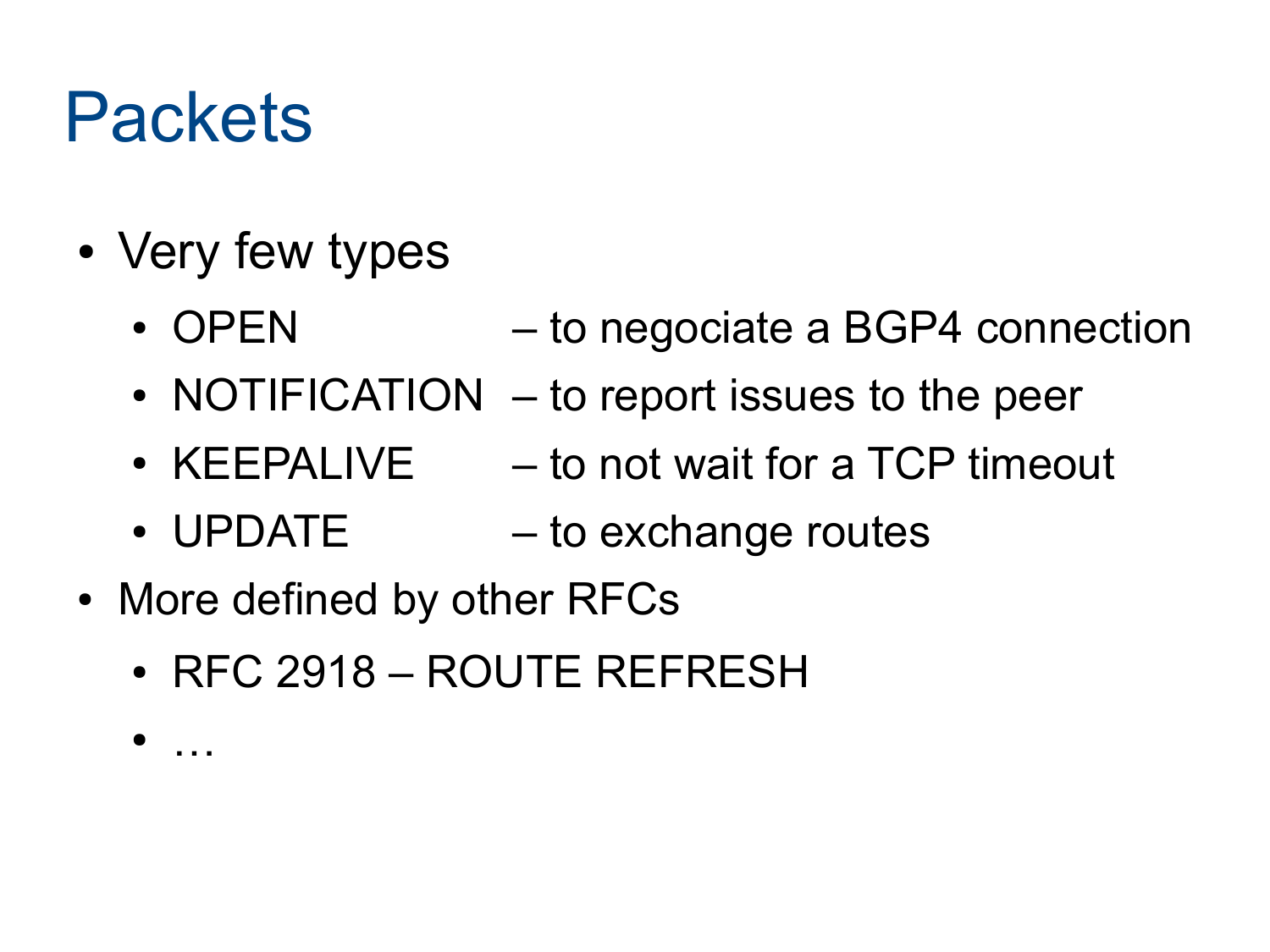#### Packets

- Very few types
	- OPEN to negociate a BGP4 connection
	- NOTIFICATION to report issues to the peer
	- KEEPALIVE  $-$  to not wait for a TCP timeout
	- UPDATE  $-$  to exchange routes
- More defined by other RFCs
	- $\cdot$  RFC 2918 ROUTE REFRESH

● …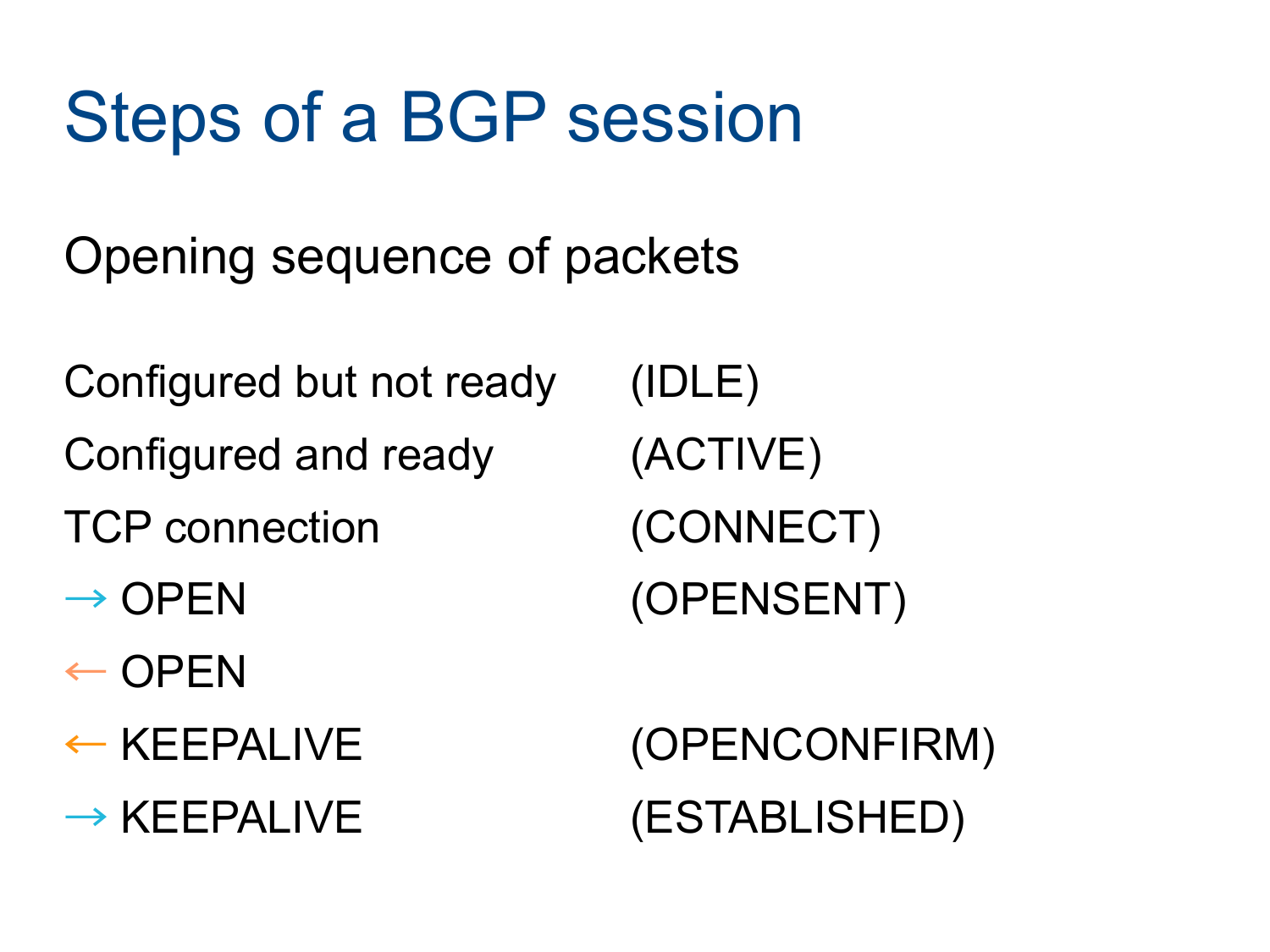#### Steps of a BGP session

Opening sequence of packets

Configured but not ready (IDLE) Configured and ready (ACTIVE) TCP connection (CONNECT)  $\rightarrow$  OPEN (OPENSENT)

- $\leftarrow$  OPEN
- 

← KEEPALIVE (OPENCONFIRM)  $\rightarrow$  KEEPALIVE (ESTABLISHED)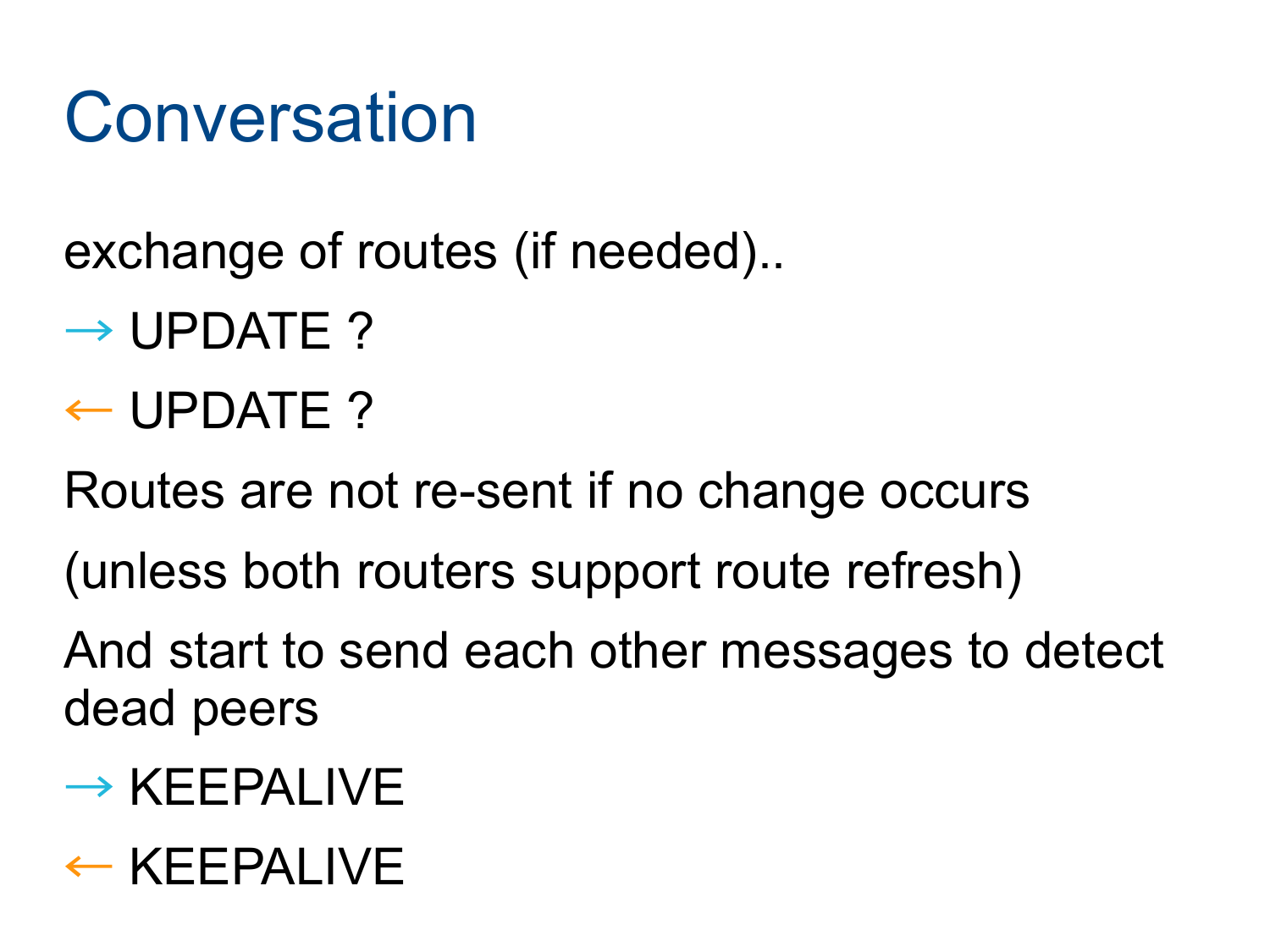#### Conversation

exchange of routes (if needed)..

- $\rightarrow$  UPDATE ?
- $\leftarrow$  UPDATE ?

Routes are not re-sent if no change occurs

(unless both routers support route refresh)

And start to send each other messages to detect dead peers

- $\rightarrow$  KEEPALIVE
- ← KEEPALIVE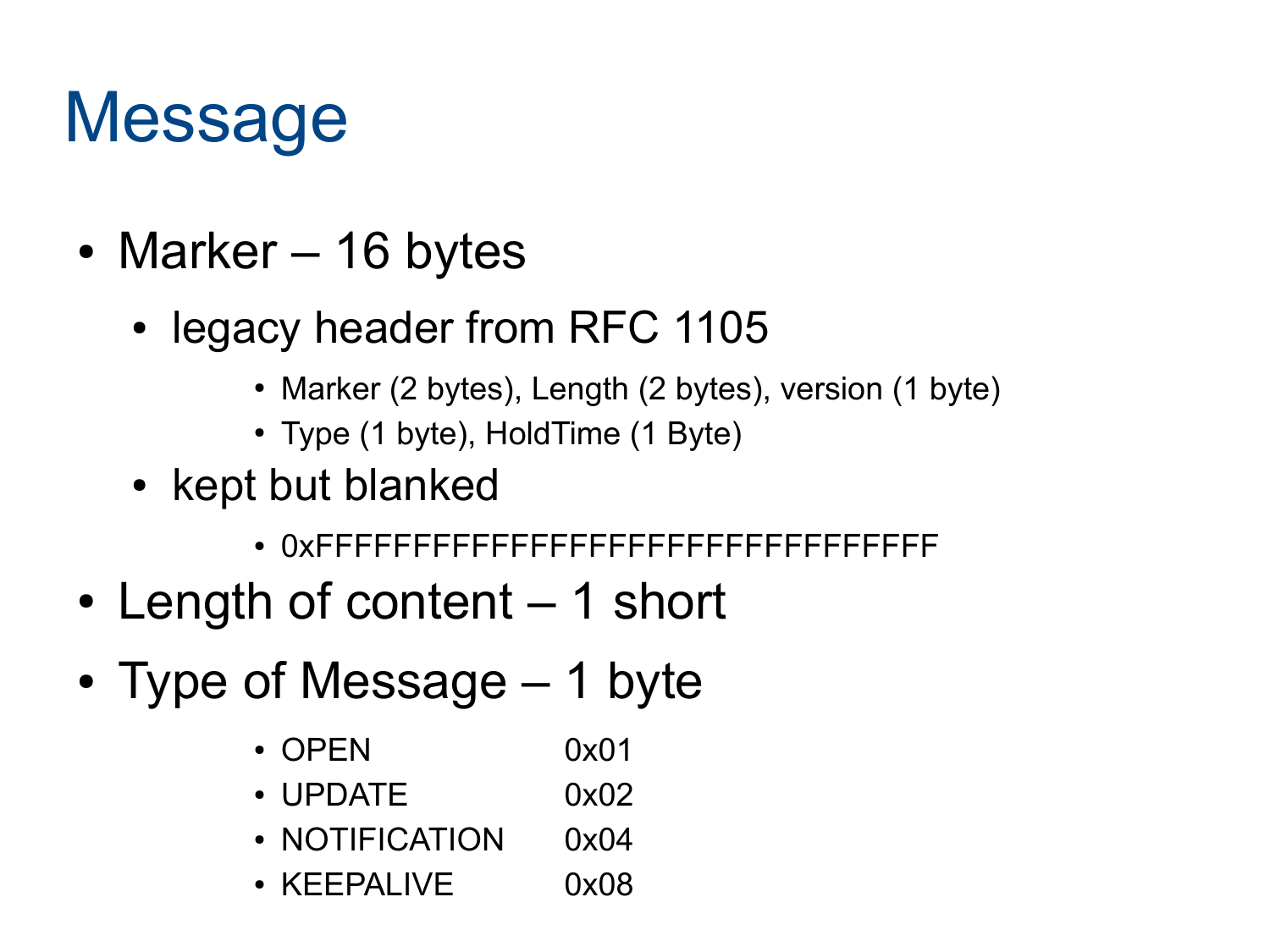#### Message

- Marker 16 bytes
	- legacy header from RFC 1105
		- Marker (2 bytes), Length (2 bytes), version (1 byte)
		- Type (1 byte), HoldTime (1 Byte)
	- kept but blanked
		- 0xFFFFFFFFFFFFFFFFFFFFFFFFFFFFFFFF
- Length of content  $-1$  short
- Type of Message  $-1$  byte
	- OPEN  $0x01$
	- $\bullet$  UPDATE  $0x02$
	- NOTIFICATION 0x04
	- $\bullet$  KEEPALIVE  $0x08$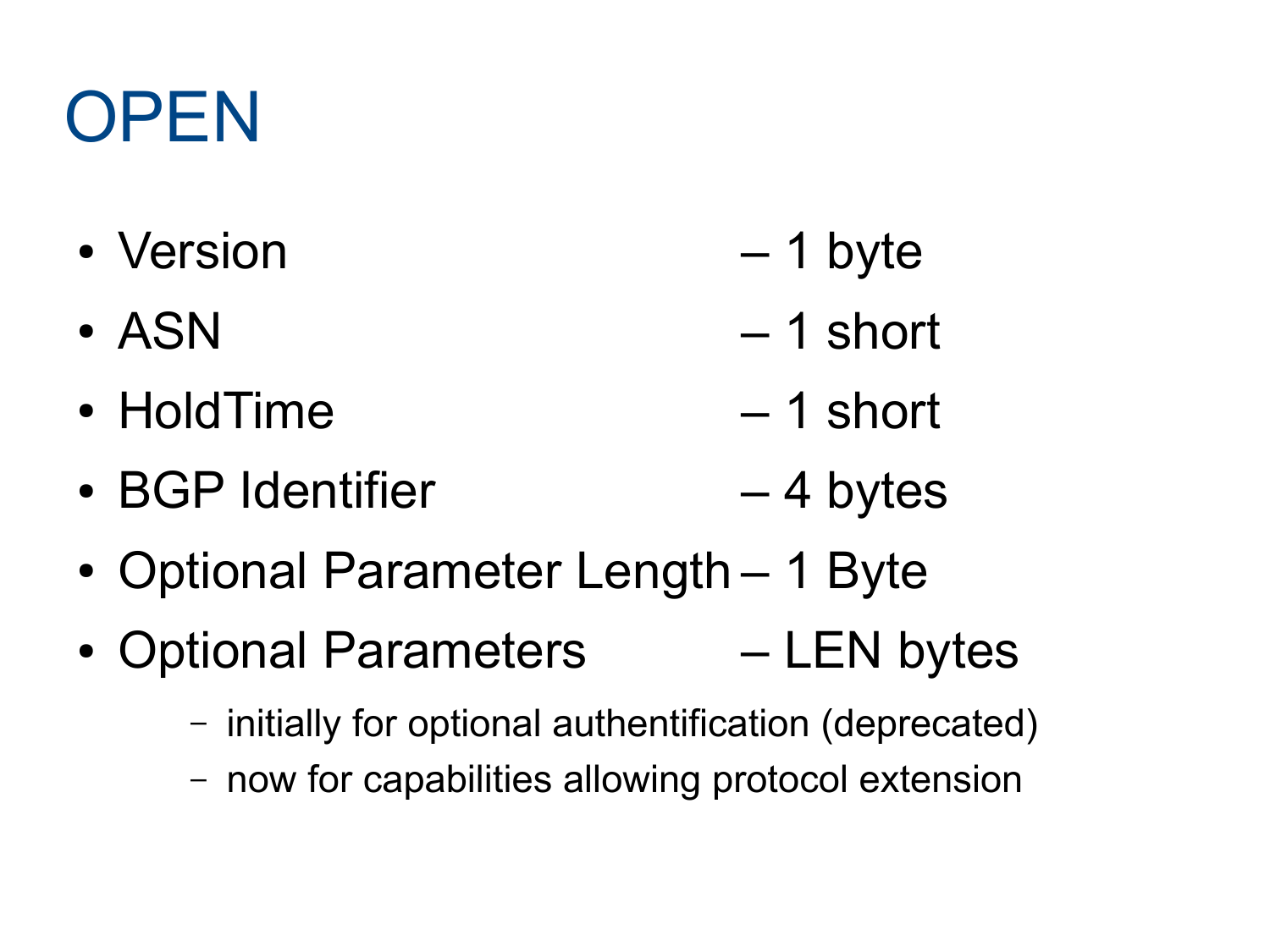### **OPEN**

- Version 1 byte
- $-4$  SN  $-1$  short
- HoldTime 1 short
- BGP Identifier 4 bytes
- Optional Parameter Length 1 Byte
- Optional Parameters LEN bytes
	- initially for optional authentification (deprecated)
	- now for capabilities allowing protocol extension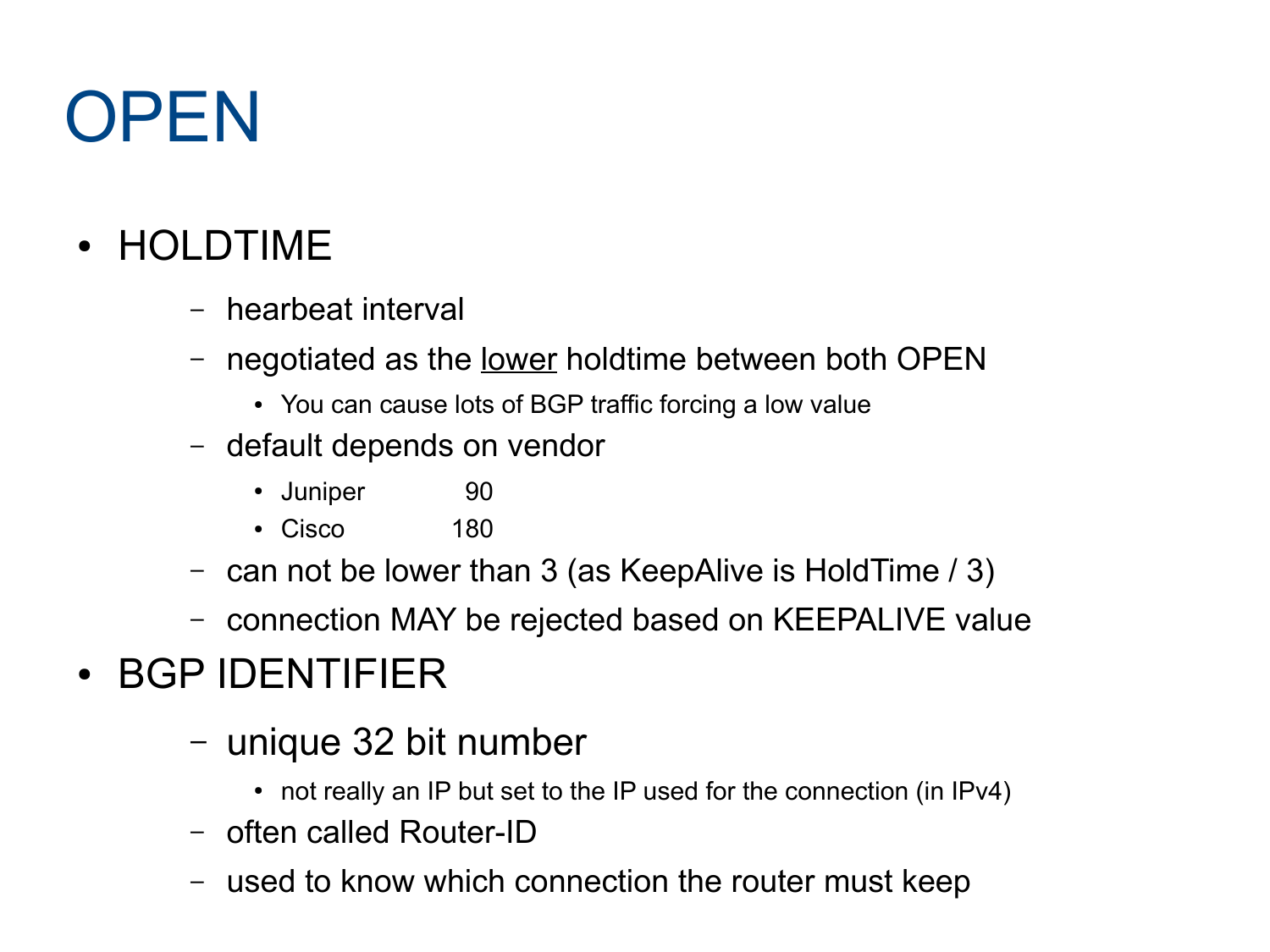#### **OPEN**

#### • HOLDTIME

- hearbeat interval
- negotiated as the <u>lower</u> holdtime between both OPEN
	- You can cause lots of BGP traffic forcing a low value
- default depends on vendor
	- Juniper 90
	- Cisco 180
- can not be lower than 3 (as KeepAlive is HoldTime / 3)
- connection MAY be rejected based on KEEPALIVE value

#### • BGP IDENTIFIER

- unique 32 bit number
	- $\cdot$  not really an IP but set to the IP used for the connection (in IPv4)
- often called Router-ID
- used to know which connection the router must keep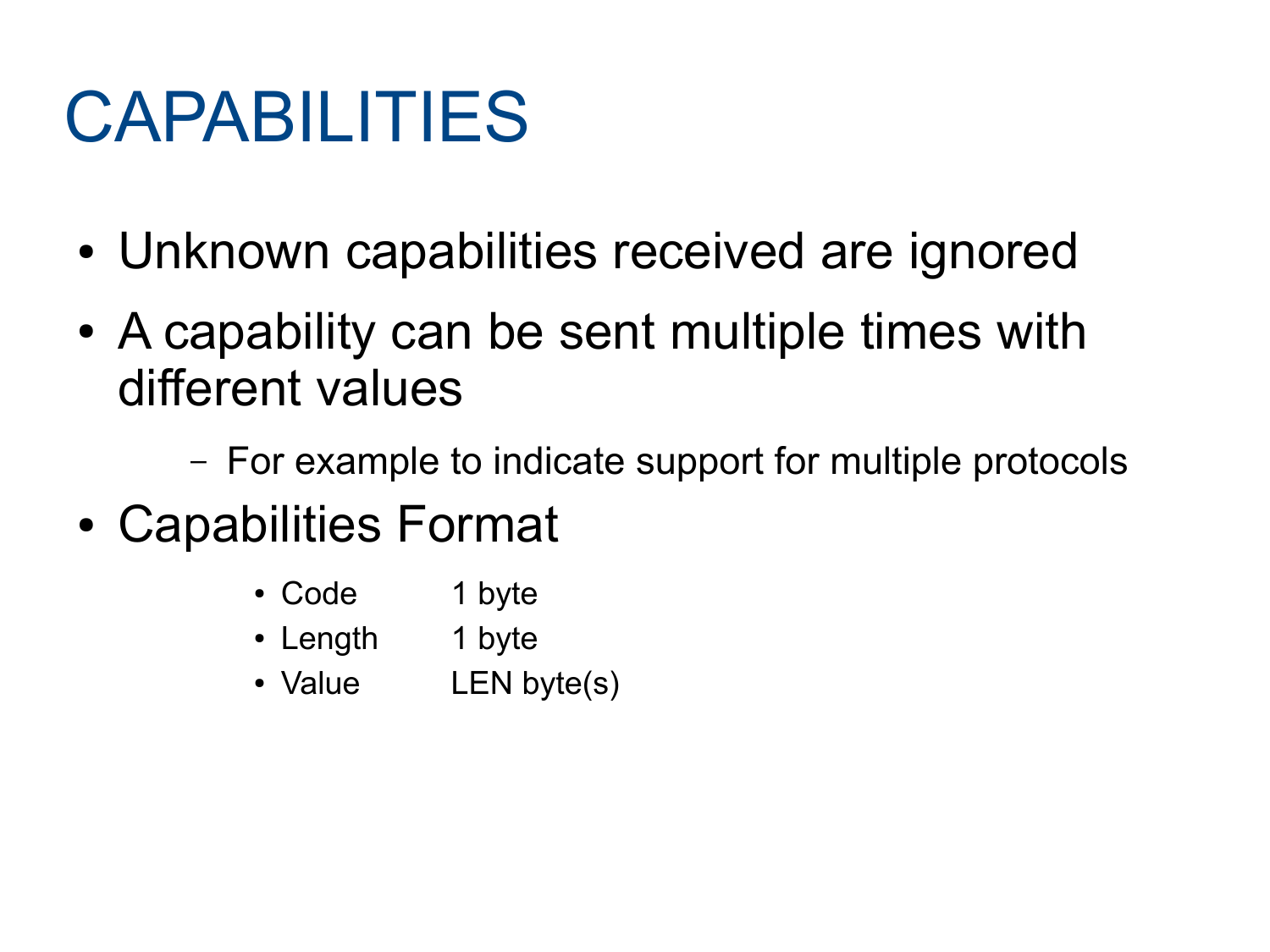- Unknown capabilities received are ignored
- A capability can be sent multiple times with different values
	- For example to indicate support for multiple protocols
- Capabilities Format
	- Code 1 byte
	- Length 1 byte
	- Value LEN byte(s)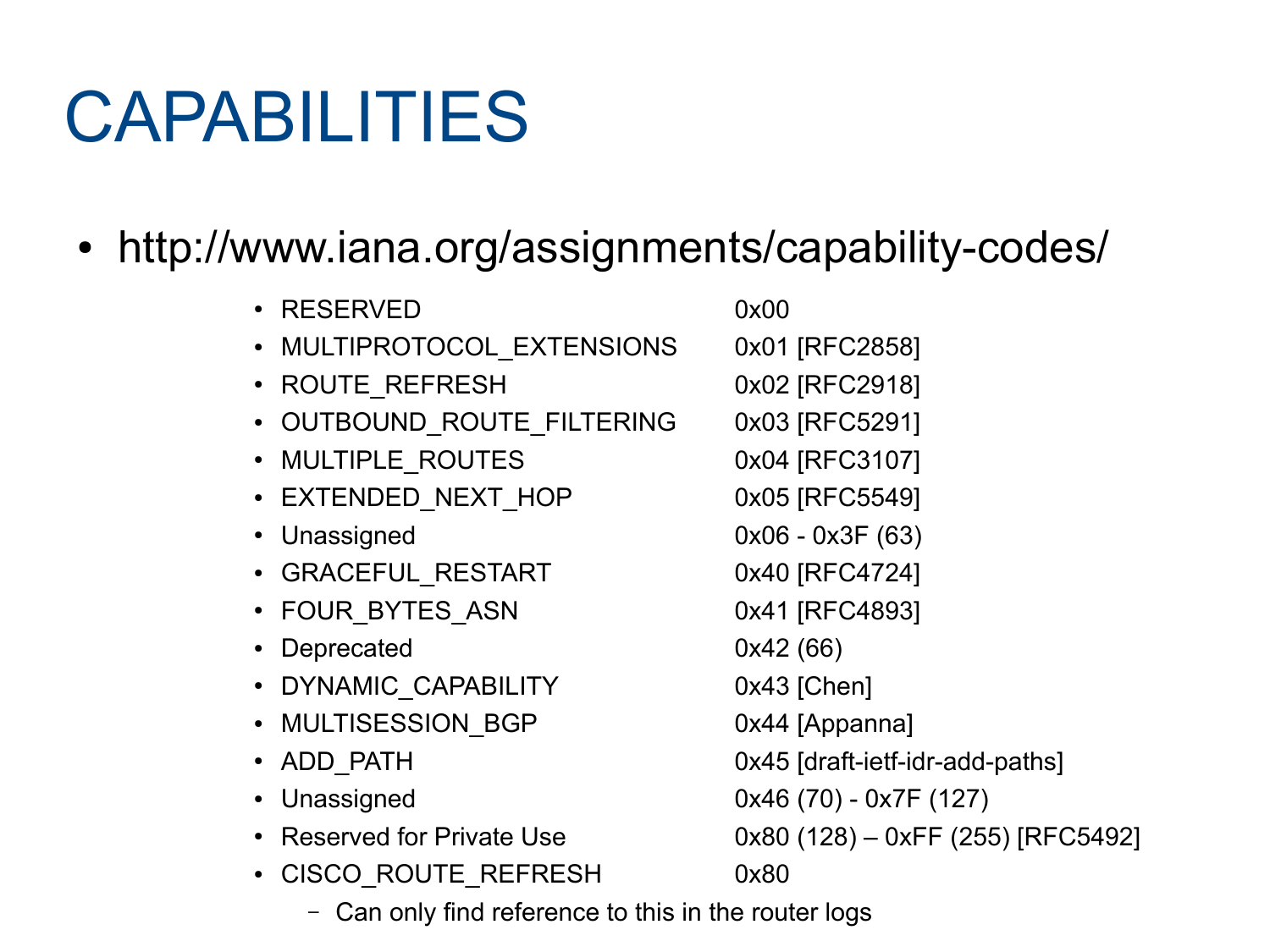#### • http://www.iana.org/assignments/capability-codes/

| • RESERVED                      | 0x00                              |
|---------------------------------|-----------------------------------|
| MULTIPROTOCOL_EXTENSIONS        | 0x01 [RFC2858]                    |
| • ROUTE REFRESH                 | 0x02 [RFC2918]                    |
| • OUTBOUND_ROUTE FILTERING      | 0x03 [RFC5291]                    |
| • MULTIPLE_ROUTES               | 0x04 [RFC3107]                    |
| • EXTENDED NEXT HOP             | 0x05 [RFC5549]                    |
| Unassigned                      | $0x06 - 0x3F(63)$                 |
| • GRACEFUL_RESTART              | 0x40 [RFC4724]                    |
| • FOUR BYTES ASN                | 0x41 [RFC4893]                    |
| Deprecated                      | 0x42(66)                          |
| • DYNAMIC_CAPABILITY            | $0x43$ [Chen]                     |
| • MULTISESSION BGP              | 0x44 [Appanna]                    |
| • ADD PATH                      | 0x45 [draft-ietf-idr-add-paths]   |
| Unassigned                      | $0x46(70) - 0x7F(127)$            |
| <b>Reserved for Private Use</b> | $0x80(128) - 0xFF(255)$ [RFC5492] |
| <b>CISCO ROUTE REFRESH</b>      | 0x80                              |
|                                 |                                   |

– Can only find reference to this in the router logs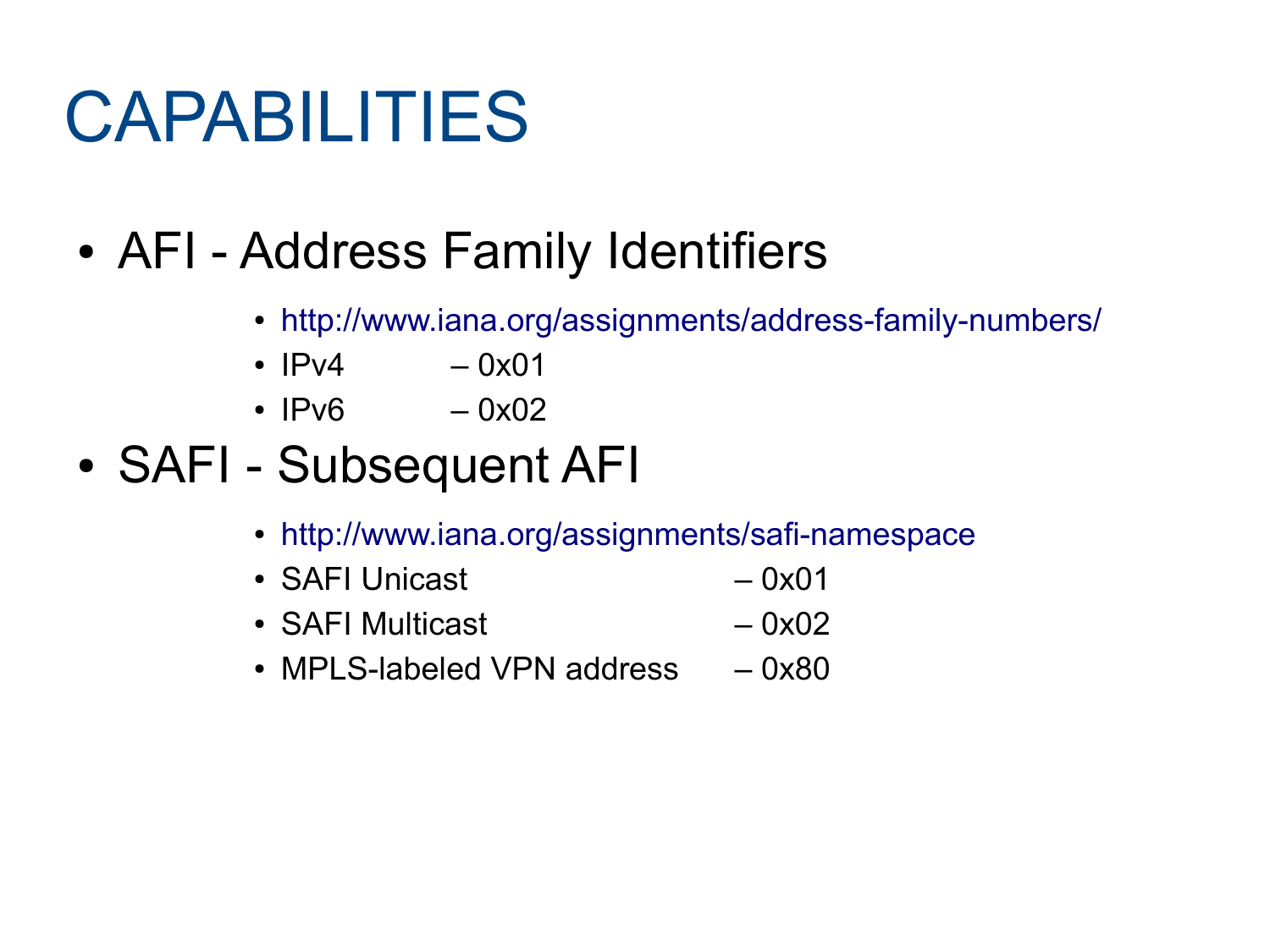- AFI Address Family Identifiers
	- <http://www.iana.org/assignments/address-family-numbers/>
	- $IPv4 0x01$
	- $IPv6 0x02$
- SAFI Subsequent AFI
	- <http://www.iana.org/assignments/safi-namespace>
	- SAFI Unicast  $-0x01$
	- SAFI Multicast  $-0x02$
	- MPLS-labeled VPN address  $-0x80$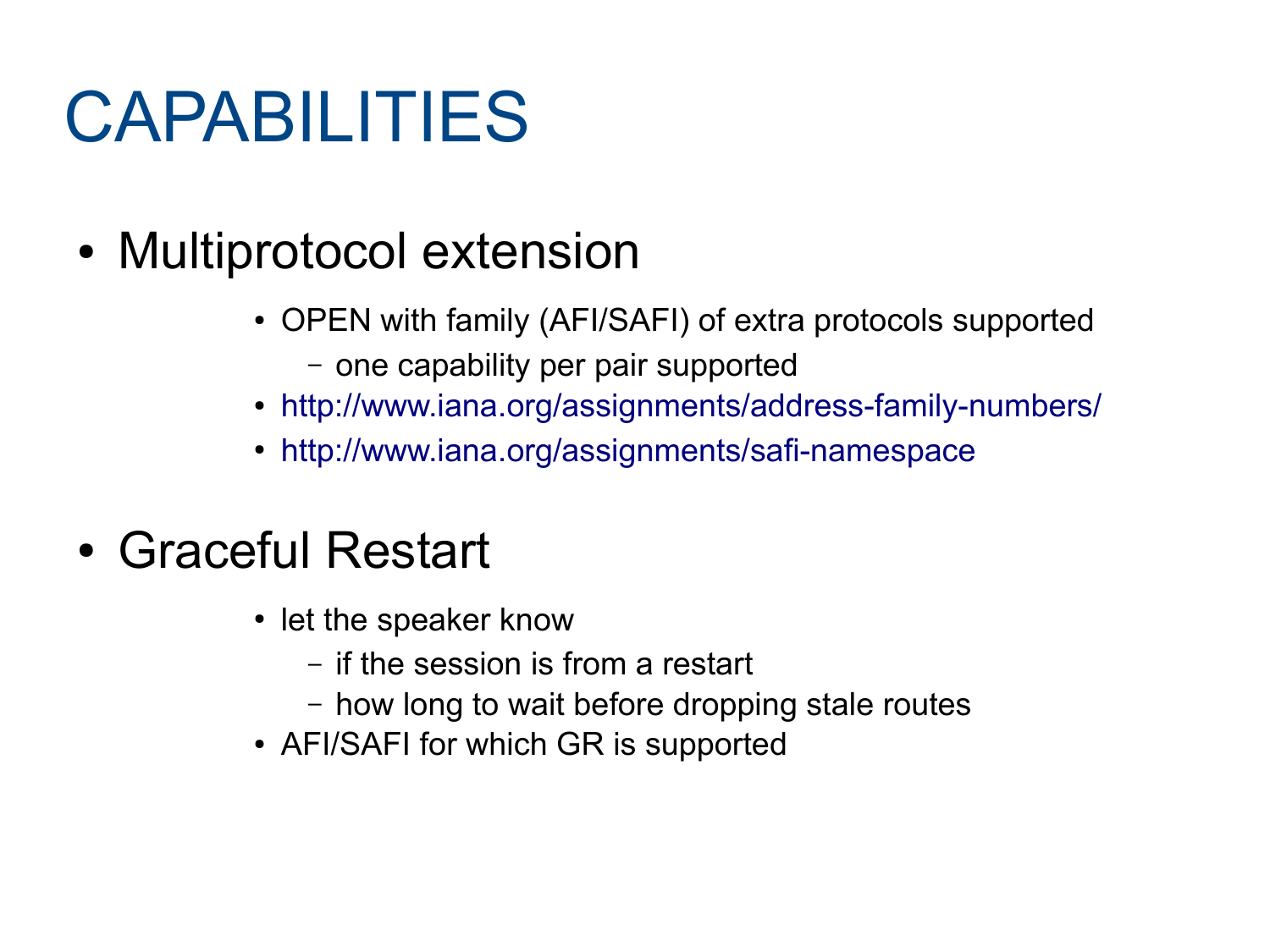- Multiprotocol extension
	- OPEN with family (AFI/SAFI) of extra protocols supported
		- one capability per pair supported
	- <http://www.iana.org/assignments/address-family-numbers/>
	- <http://www.iana.org/assignments/safi-namespace>

#### • Graceful Restart

- let the speaker know
	- if the session is from a restart
	- how long to wait before dropping stale routes
- AFI/SAFI for which GR is supported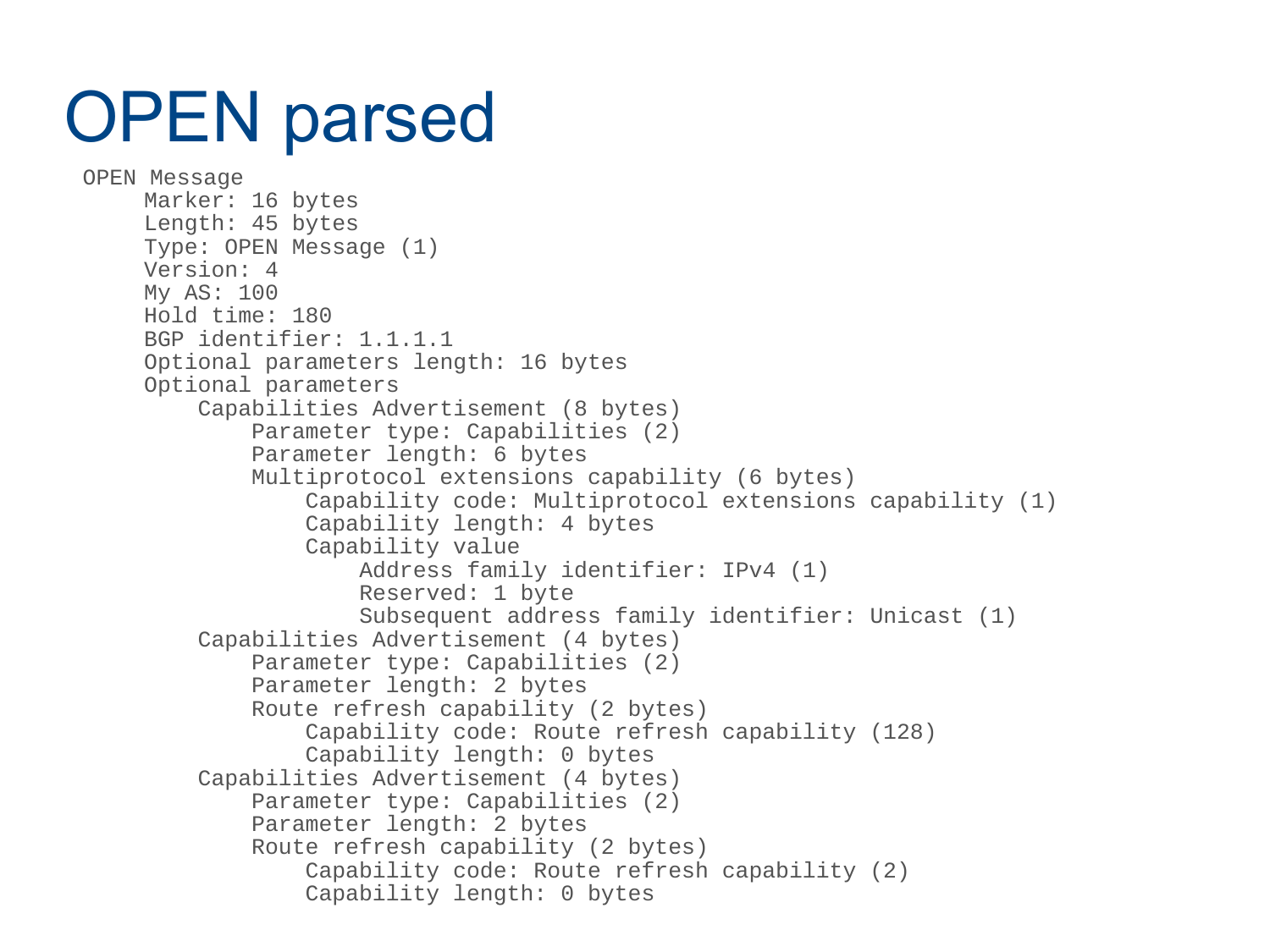#### OPEN parsed

```
 OPEN Message
     Marker: 16 bytes
     Length: 45 bytes
     Type: OPEN Message (1)
     Version: 4
     My AS: 100
     Hold time: 180
     BGP identifier: 1.1.1.1
     Optional parameters length: 16 bytes
     Optional parameters
          Capabilities Advertisement (8 bytes)
              Parameter type: Capabilities (2)
              Parameter length: 6 bytes
              Multiprotocol extensions capability (6 bytes)
                  Capability code: Multiprotocol extensions capability (1)
                 Capability length: 4 bytes
                 Capability value
                      Address family identifier: IPv4 (1)
                     Reserved: 1 byte
                     Subsequent address family identifier: Unicast (1)
          Capabilities Advertisement (4 bytes)
              Parameter type: Capabilities (2)
              Parameter length: 2 bytes
              Route refresh capability (2 bytes)
                  Capability code: Route refresh capability (128)
                 Capability length: 0 bytes
          Capabilities Advertisement (4 bytes)
              Parameter type: Capabilities (2)
              Parameter length: 2 bytes
              Route refresh capability (2 bytes)
                  Capability code: Route refresh capability (2)
                 Capability length: 0 bytes
```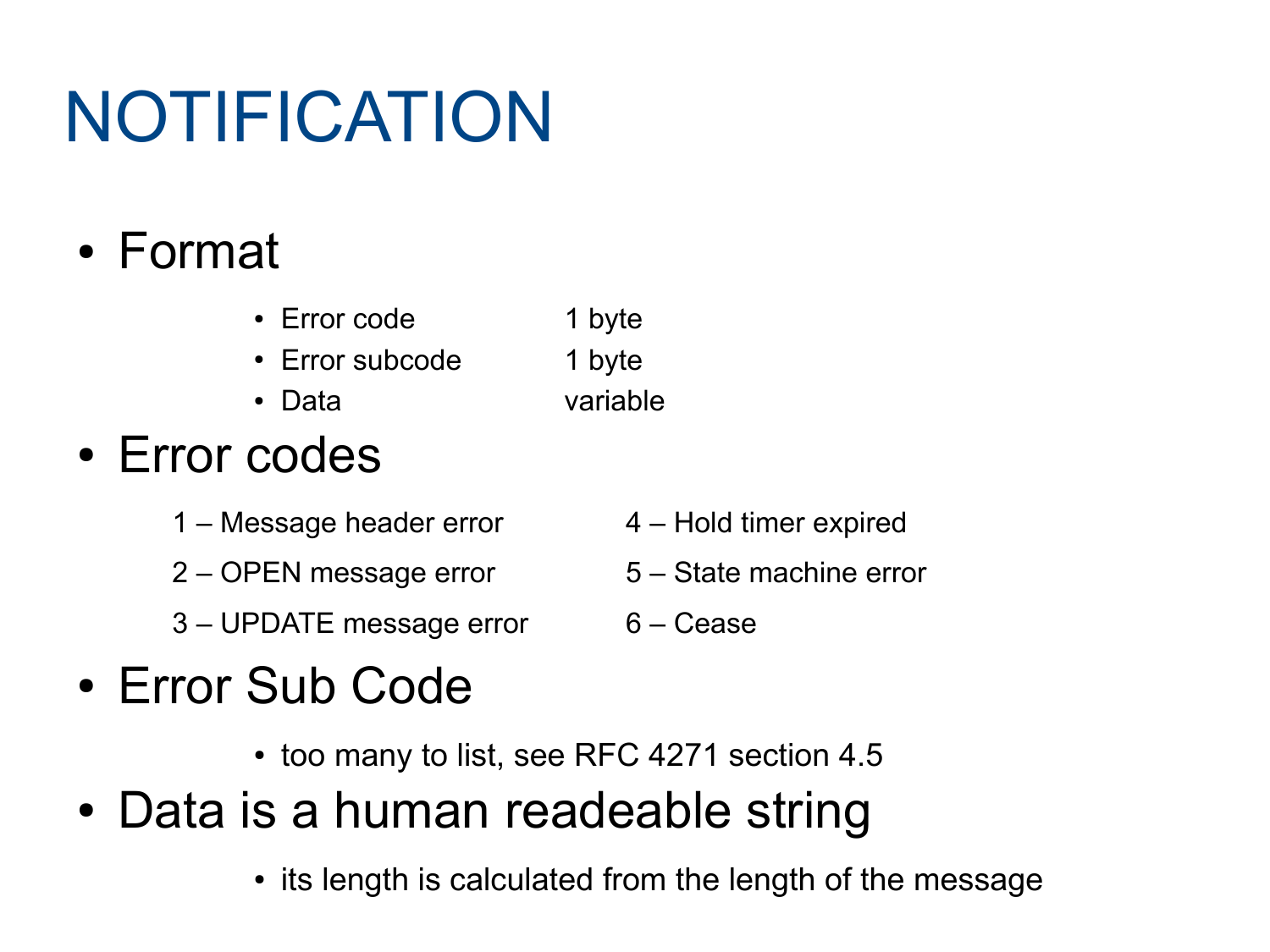# NOTIFICATION

#### ● Format

- Error code 1 byte
- Error subcode 1 byte
- Data variable

#### • Error codes

- 1 Message header error 4 Hold timer expired
- 2 OPEN message error 5 State machine error
- 3 UPDATE message error 6 Cease
- 

- Error Sub Code
	- too many to list, see RFC 4271 section 4.5
- Data is a human readeable string
	- its length is calculated from the length of the message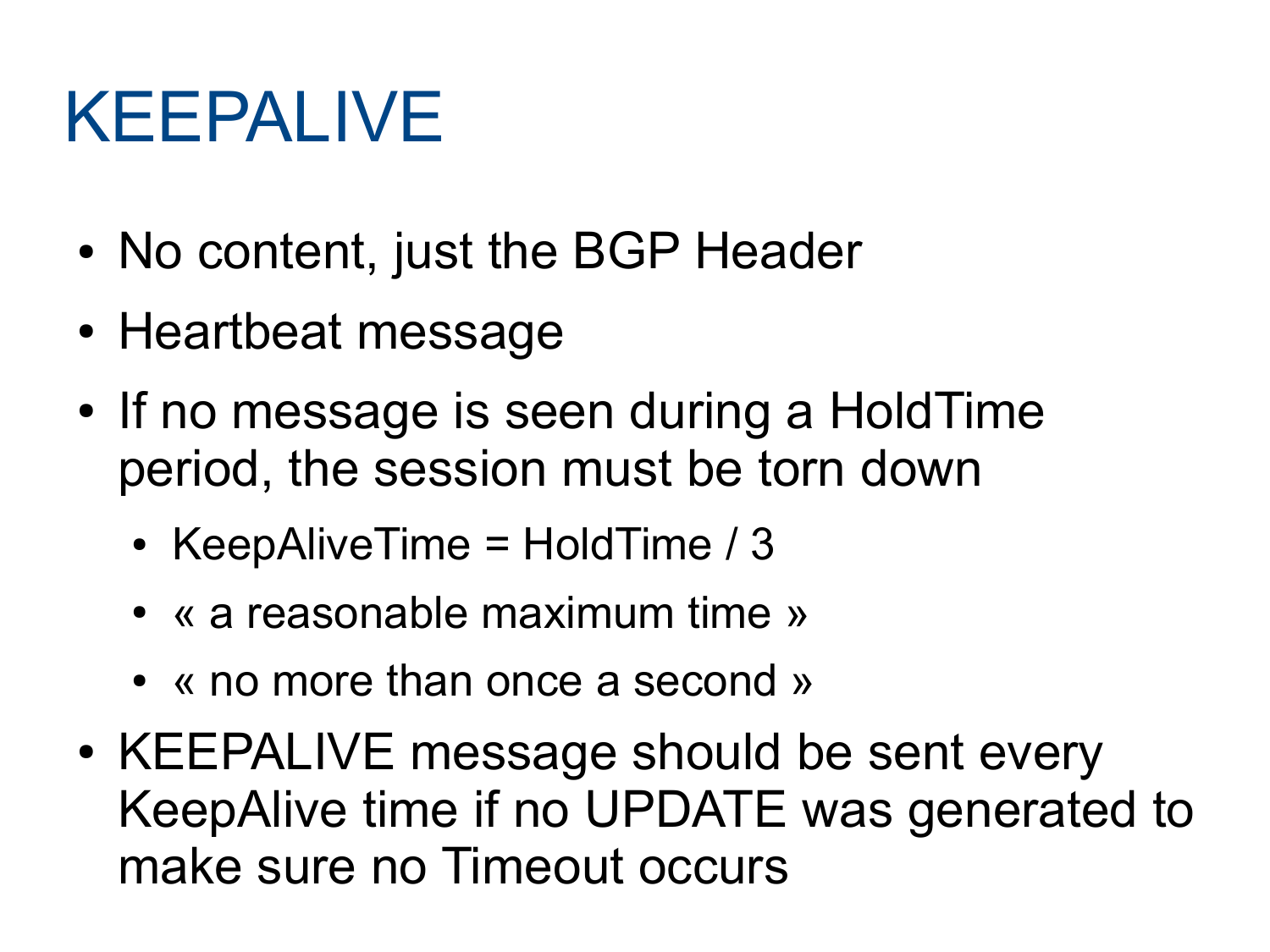#### KEEPALIVE

- No content, just the BGP Header
- Heartbeat message
- If no message is seen during a HoldTime period, the session must be torn down
	- KeepAliveTime =  $H$ oldTime / 3
	- « a reasonable maximum time »
	- « no more than once a second »
- KEEPALIVE message should be sent every KeepAlive time if no UPDATE was generated to make sure no Timeout occurs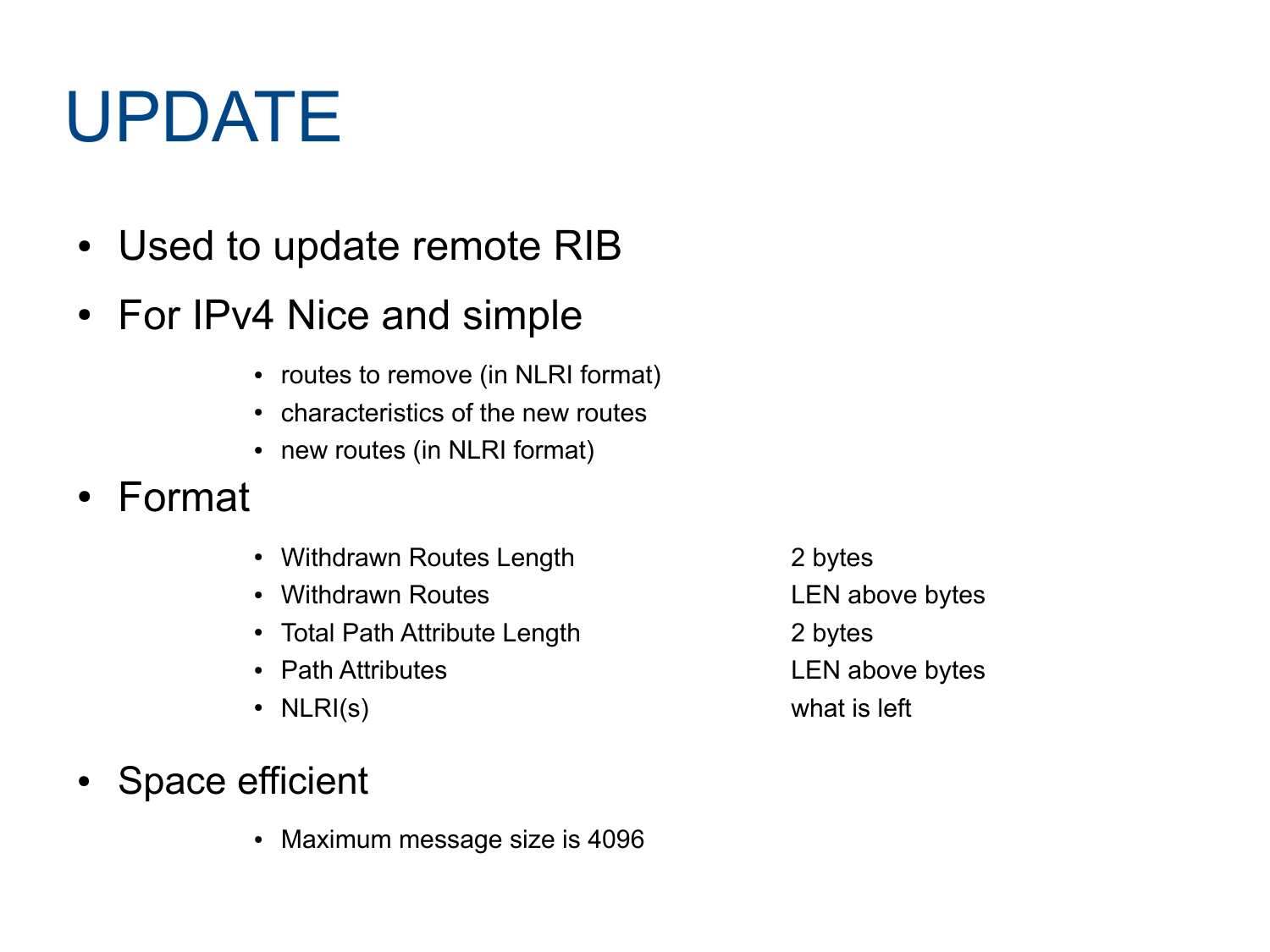## UPDATE

- Used to update remote RIB
- For IPv4 Nice and simple
	- routes to remove (in NLRI format)
	- characteristics of the new routes
	- new routes (in NLRI format)
- Format
	- Withdrawn Routes Length 2 bytes
	- Withdrawn Routes **LEN** above bytes
	- Total Path Attribute Length 2 bytes
	-
	-
- Space efficient
	- Maximum message size is 4096

• Path Attributes **LEN** above bytes • NLRI(s) what is left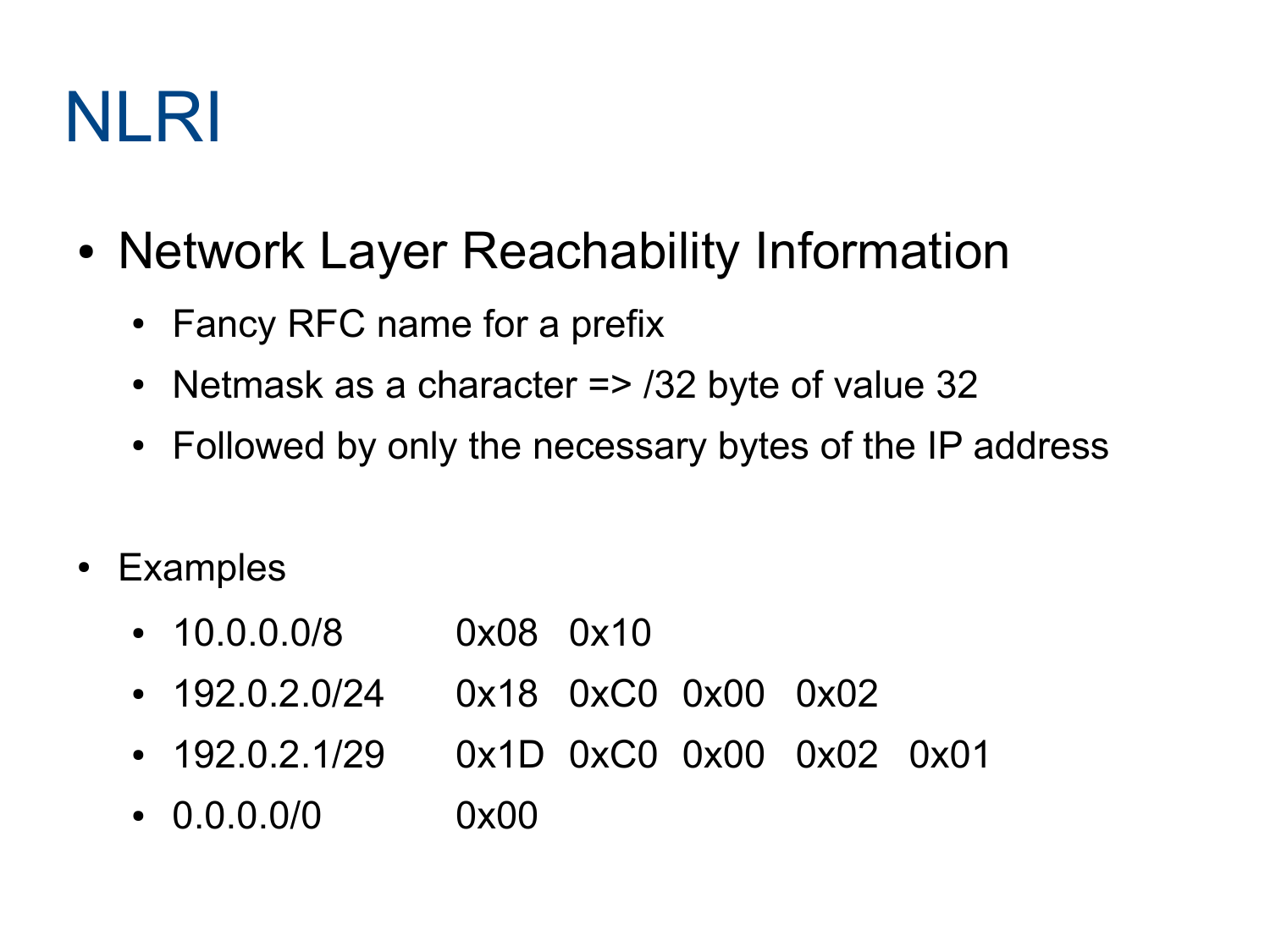#### NLRI

- Network Layer Reachability Information
	- Fancy RFC name for a prefix
	- Netmask as a character  $\approx$  /32 byte of value 32
	- Followed by only the necessary bytes of the IP address
- Examples
	- 10.0.0.0/8 0x08 0x10
	- 192.0.2.0/24 0x18 0xC0 0x00 0x02
	- 192.0.2.1/29 0x1D 0xC0 0x00 0x02 0x01
	- $\bullet$  0.0.0.0/0 0x00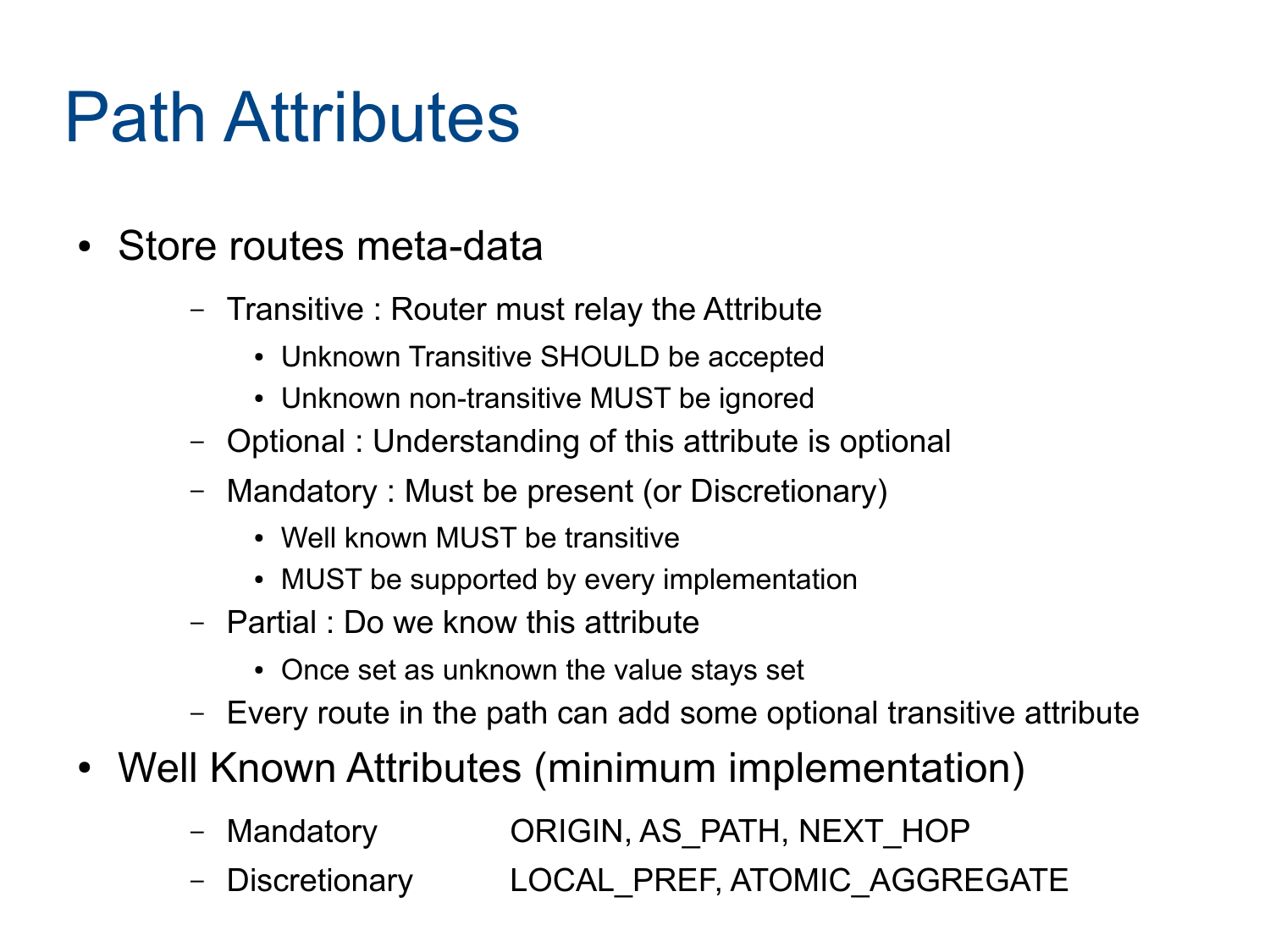#### Path Attributes

- Store routes meta-data
	- Transitive : Router must relay the Attribute
		- Unknown Transitive SHOULD be accepted
		- Unknown non-transitive MUST be ignored
	- Optional : Understanding of this attribute is optional
	- Mandatory : Must be present (or Discretionary)
		- Well known MUST be transitive
		- MUST be supported by every implementation
	- Partial : Do we know this attribute
		- Once set as unknown the value stays set
	- Every route in the path can add some optional transitive attribute
- Well Known Attributes (minimum implementation)
	- Mandatory **ORIGIN, AS PATH, NEXT HOP**
	- Discretionary LOCAL PREF, ATOMIC AGGREGATE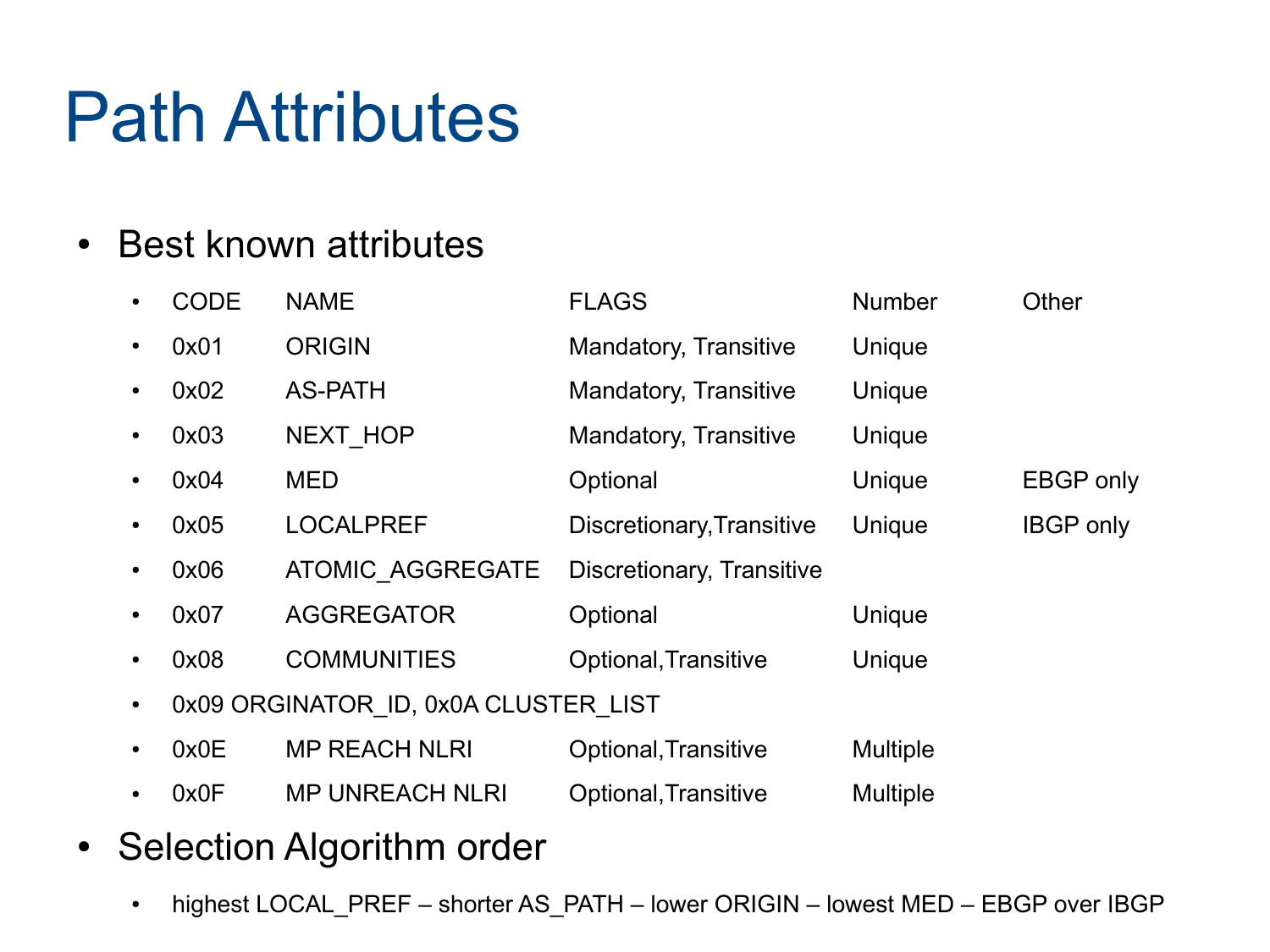#### Path Attributes

#### • Best known attributes

|           | <b>CODE</b>                          | <b>NAME</b>            | <b>FLAGS</b>                 | <b>Number</b>   | Other            |
|-----------|--------------------------------------|------------------------|------------------------------|-----------------|------------------|
|           | 0x01                                 | <b>ORIGIN</b>          | <b>Mandatory, Transitive</b> | Unique          |                  |
|           | 0x02                                 | <b>AS-PATH</b>         | Mandatory, Transitive        | Unique          |                  |
|           | 0x03                                 | NEXT_HOP               | <b>Mandatory, Transitive</b> | Unique          |                  |
|           | 0x04                                 | <b>MED</b>             | Optional                     | Unique          | <b>EBGP</b> only |
|           | 0x05                                 | <b>LOCALPREF</b>       | Discretionary, Transitive    | Unique          | <b>IBGP</b> only |
|           | 0x06                                 | ATOMIC AGGREGATE       | Discretionary, Transitive    |                 |                  |
|           | 0x07                                 | <b>AGGREGATOR</b>      | Optional                     | Unique          |                  |
|           | 0x08                                 | <b>COMMUNITIES</b>     | Optional, Transitive         | Unique          |                  |
| $\bullet$ | 0x09 ORGINATOR ID, 0x0A CLUSTER LIST |                        |                              |                 |                  |
|           | 0x0E                                 | <b>MP REACH NLRI</b>   | Optional, Transitive         | <b>Multiple</b> |                  |
|           | 0x0F                                 | <b>MP UNREACH NLRI</b> | Optional, Transitive         | <b>Multiple</b> |                  |
|           |                                      |                        |                              |                 |                  |

- Selection Algorithm order
	- highest LOCAL\_PREF shorter AS\_PATH lower ORIGIN lowest MED EBGP over IBGP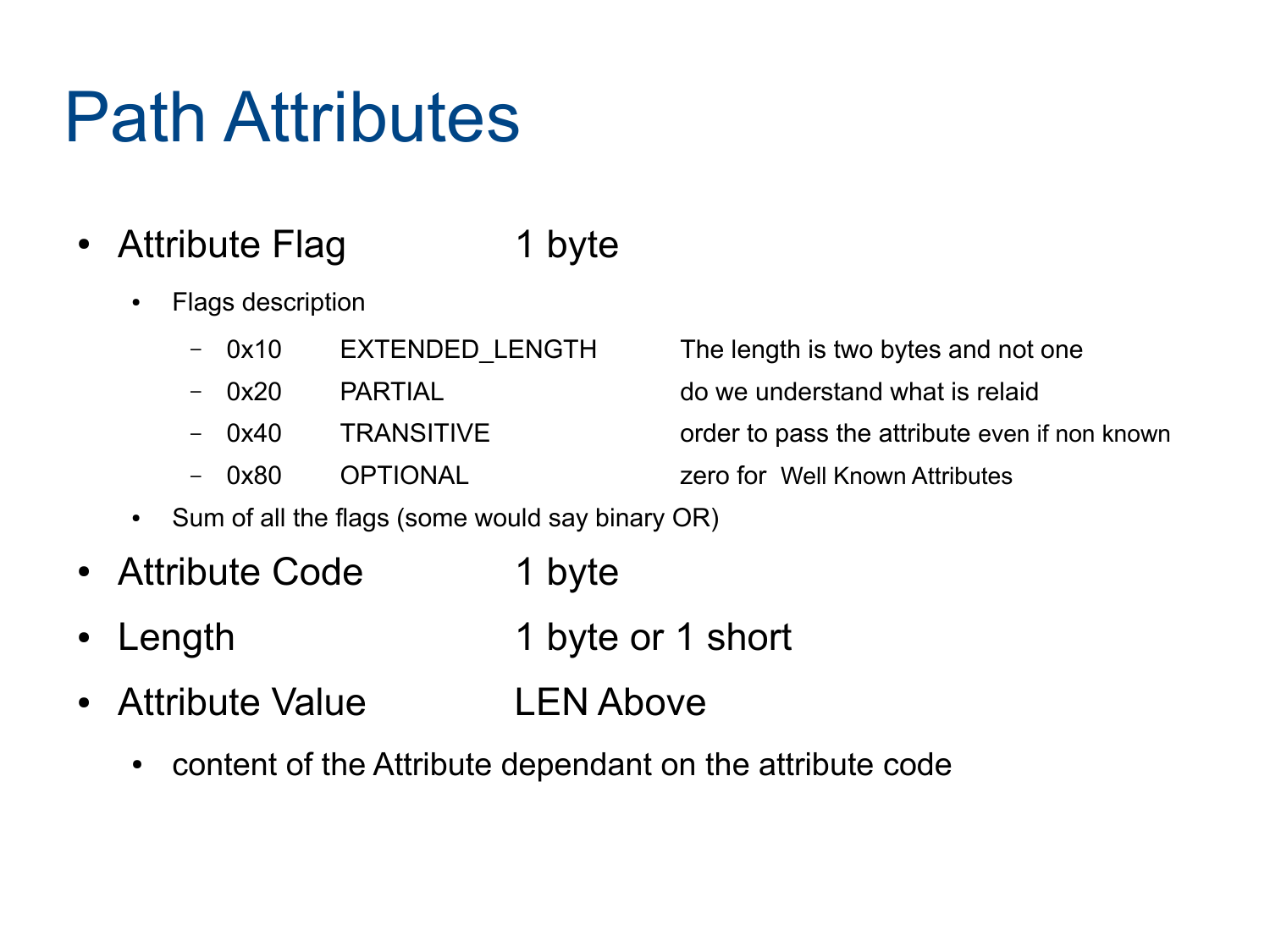#### Path Attributes

- Attribute Flag 1 byte
	- Flags description
		- 0x10 EXTENDED\_LENGTH The length is two bytes and not one
		-
		-
		-

– 0x20 PARTIAL do we understand what is relaid

- 0x40 TRANSITIVE order to pass the attribute even if non known
- 0x80 OPTIONAL zero for Well Known Attributes
- Sum of all the flags (some would say binary OR)
- Attribute Code 1 byte
- Length 1 byte or 1 short
- Attribute Value LEN Above
	- content of the Attribute dependant on the attribute code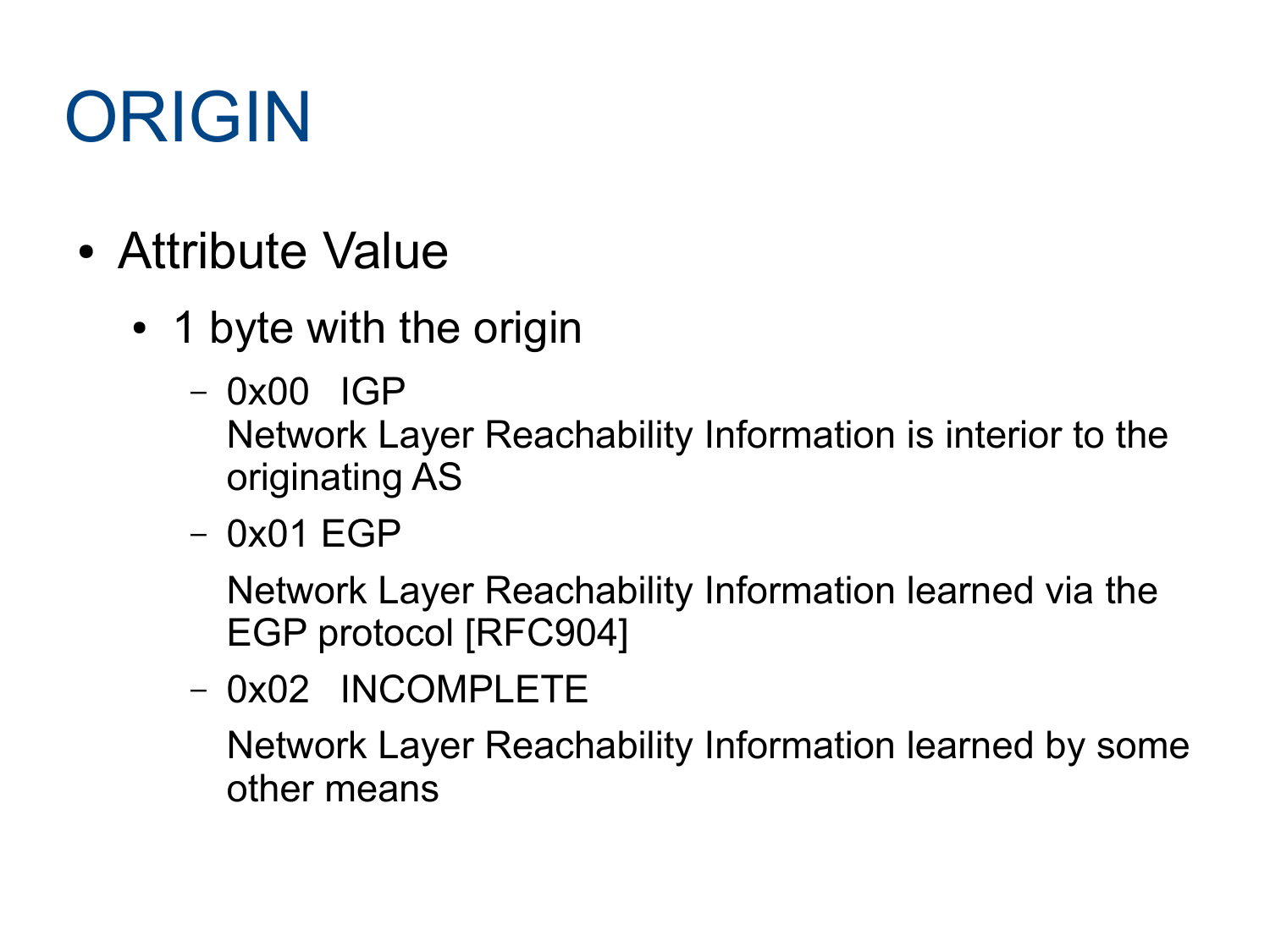### ORIGIN

- Attribute Value
	- 1 byte with the origin
		- 0x00 IGP Network Layer Reachability Information is interior to the originating AS
		- 0x01 EGP

Network Layer Reachability Information learned via the EGP protocol [RFC904]

– 0x02 INCOMPLETE

Network Layer Reachability Information learned by some other means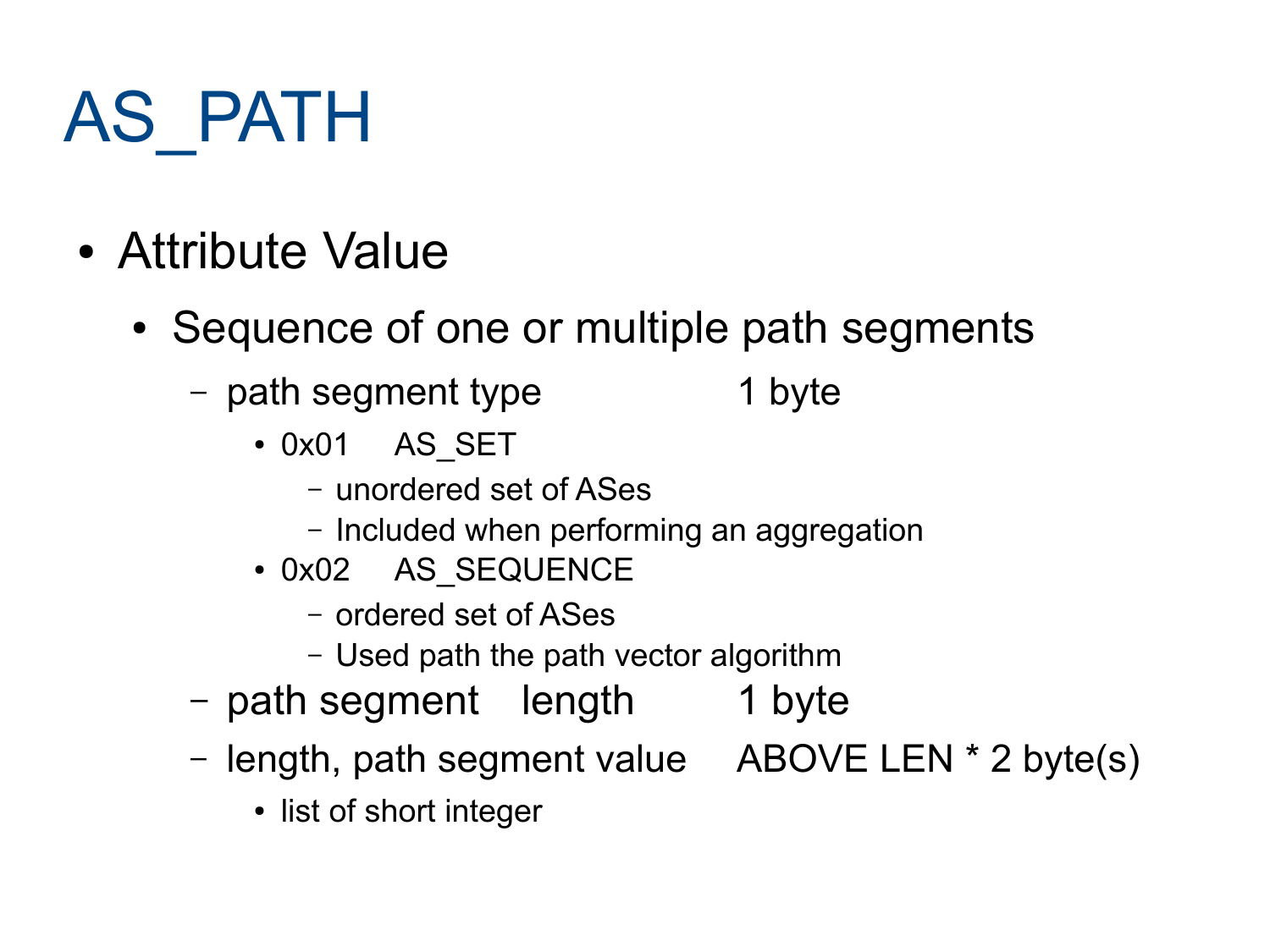## AS\_PATH

- Attribute Value
	- Sequence of one or multiple path segments
		- path segment type 1 byte
			- 0x01 AS SET
				- unordered set of ASes
				- Included when performing an aggregation
			- 0x02 AS SEQUENCE
				- ordered set of ASes
				- Used path the path vector algorithm
		- path segment length 1 byte
		- length, path segment value ABOVE LEN \* 2 byte(s)
			- list of short integer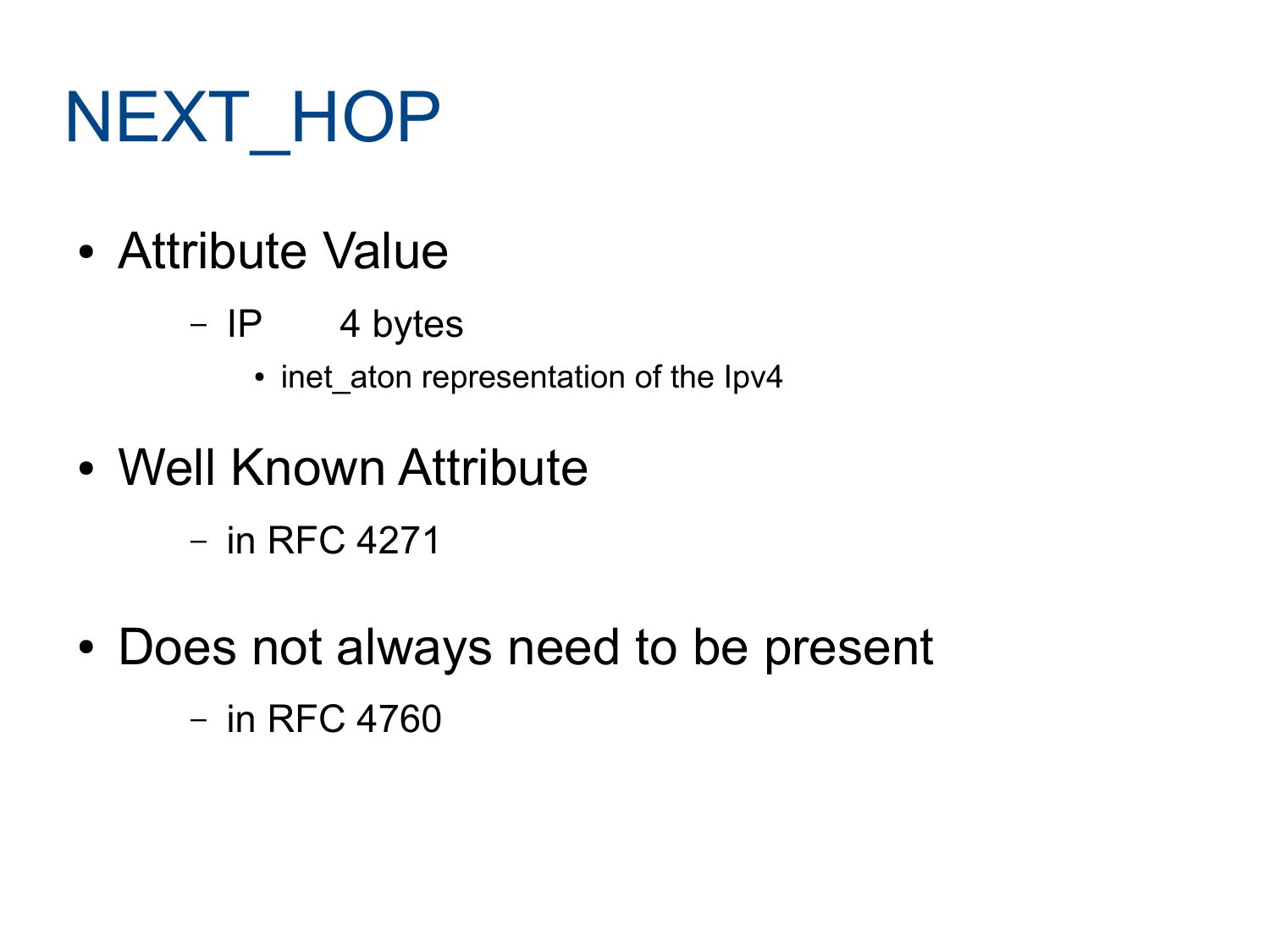# NEXT\_HOP

- Attribute Value
	- IP 4 bytes
		- inet\_aton representation of the Ipv4
- Well Known Attribute
	- in RFC 4271
- Does not always need to be present – in RFC 4760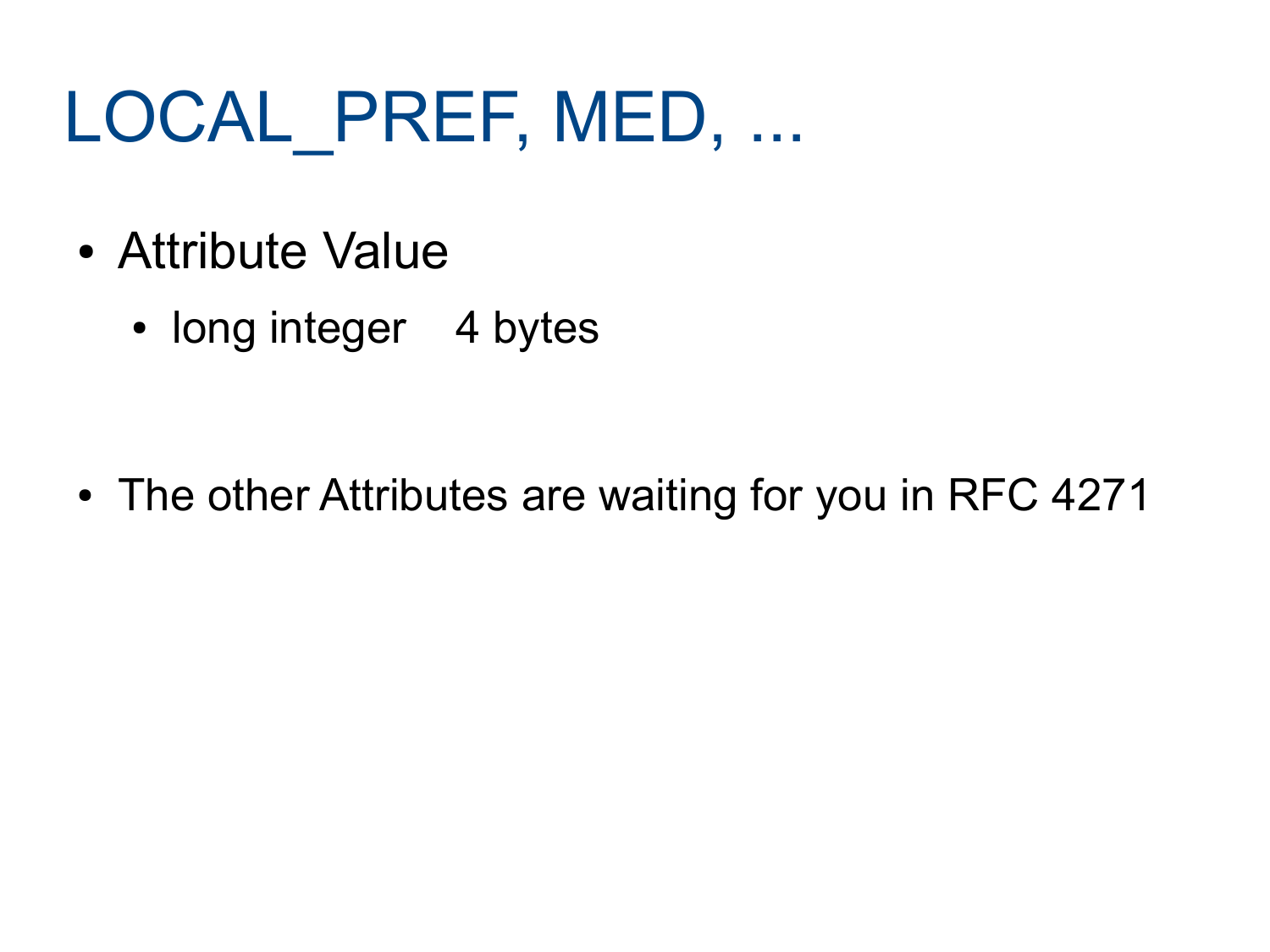## LOCAL PREF, MED, ...

- Attribute Value
	- long integer 4 bytes

• The other Attributes are waiting for you in RFC 4271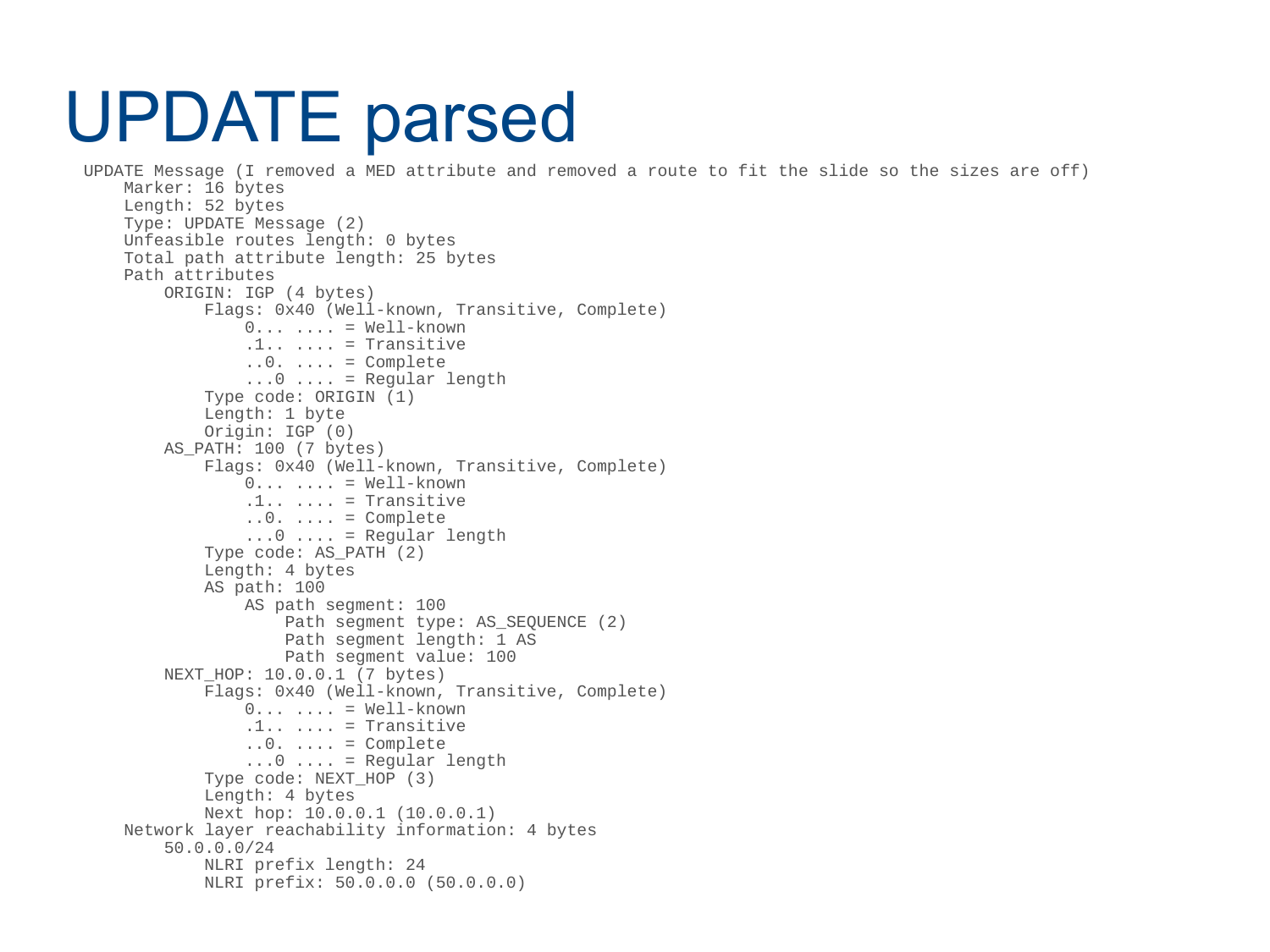#### UPDATE parsed

```
 UPDATE Message (I removed a MED attribute and removed a route to fit the slide so the sizes are off)
     Marker: 16 bytes
     Length: 52 bytes 
     Type: UPDATE Message (2)
     Unfeasible routes length: 0 bytes
     Total path attribute length: 25 bytes
     Path attributes
         ORIGIN: IGP (4 bytes)
             Flags: 0x40 (Well-known, Transitive, Complete)
                 0 \ldots \ldots = Well-known
                 .1... .1... = Transitive
                 ..0. .... = Complete
                 ...0 .... = Regular length
             Type code: ORIGIN (1)
             Length: 1 byte
             Origin: IGP (0)
         AS_PATH: 100 (7 bytes)
             Flags: 0x40 (Well-known, Transitive, Complete)
                 0 \ldots \ldots = Well-known
                 .1.. .... = Transitive
                 \ldots0. .... = Complete
                 ...0 .... = Regular length
             Type code: AS_PATH (2)
             Length: 4 bytes
             AS path: 100
                  AS path segment: 100
                     Path seqment type: AS SEQUENCE (2)
                     Path segment length: 1 AS
                     Path segment value: 100
        NEXT HOP: 10.0.0.1 (7 bytes)
             Flags: 0x40 (Well-known, Transitive, Complete)
                 0 \ldots \ldots = Well-known
                 .1.. .... = Transitive
                 ..0. .... = Complete
                 ...0 .... = Regular length
             Type code: NEXT_HOP (3)
             Length: 4 bytes
             Next hop: 10.0.0.1 (10.0.0.1)
     Network layer reachability information: 4 bytes
         50.0.0.0/24
             NLRI prefix length: 24
             NLRI prefix: 50.0.0.0 (50.0.0.0)
```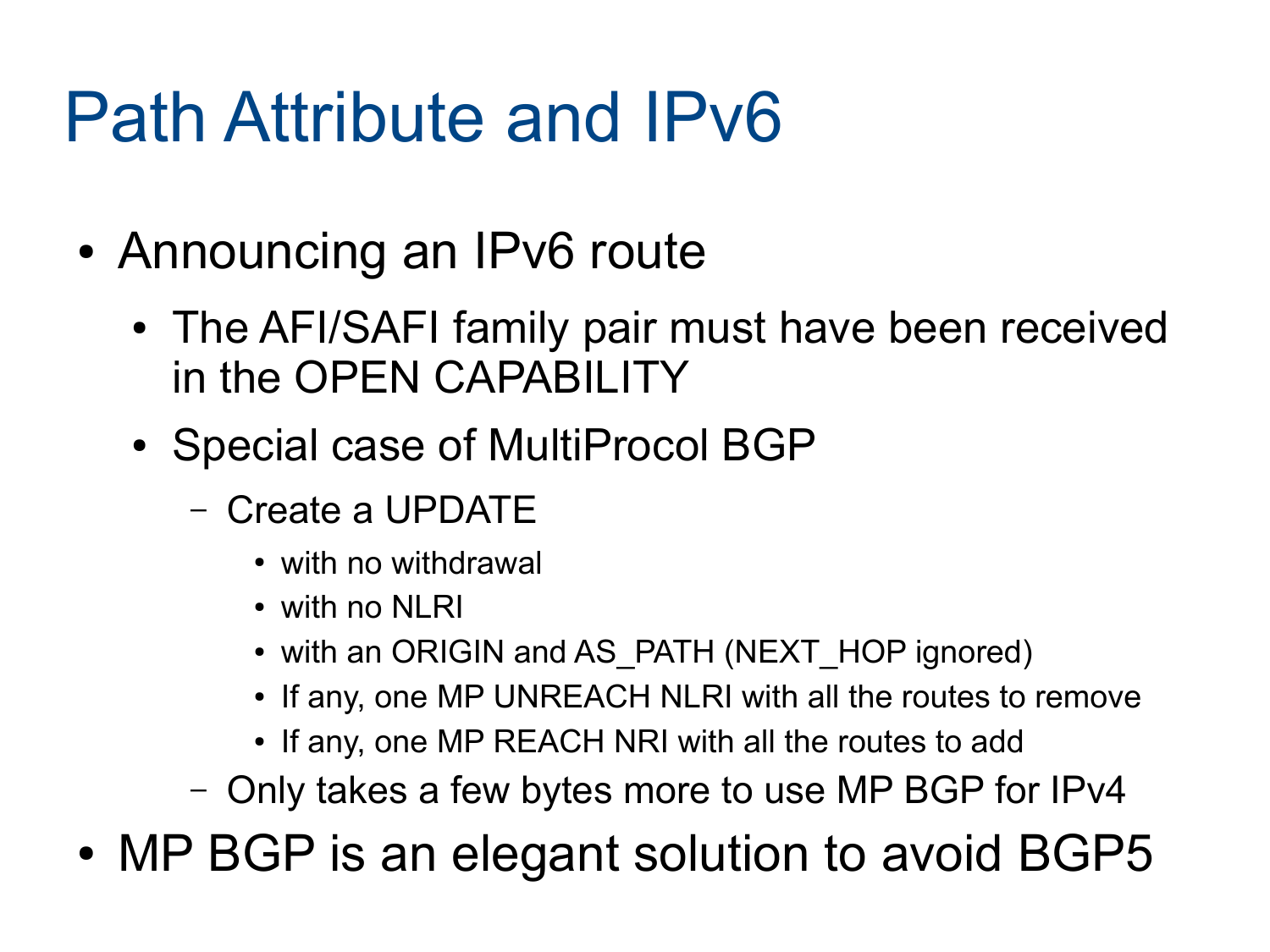#### Path Attribute and IPv6

- Announcing an IPv6 route
	- The AFI/SAFI family pair must have been received in the OPEN CAPABILITY
	- Special case of MultiProcol BGP
		- Create a UPDATE
			- with no withdrawal
			- with no NI RI
			- with an ORIGIN and AS\_PATH (NEXT\_HOP ignored)
			- If any, one MP UNREACH NLRI with all the routes to remove
			- If any, one MP REACH NRI with all the routes to add
		- Only takes a few bytes more to use MP BGP for IPv4

• MP BGP is an elegant solution to avoid BGP5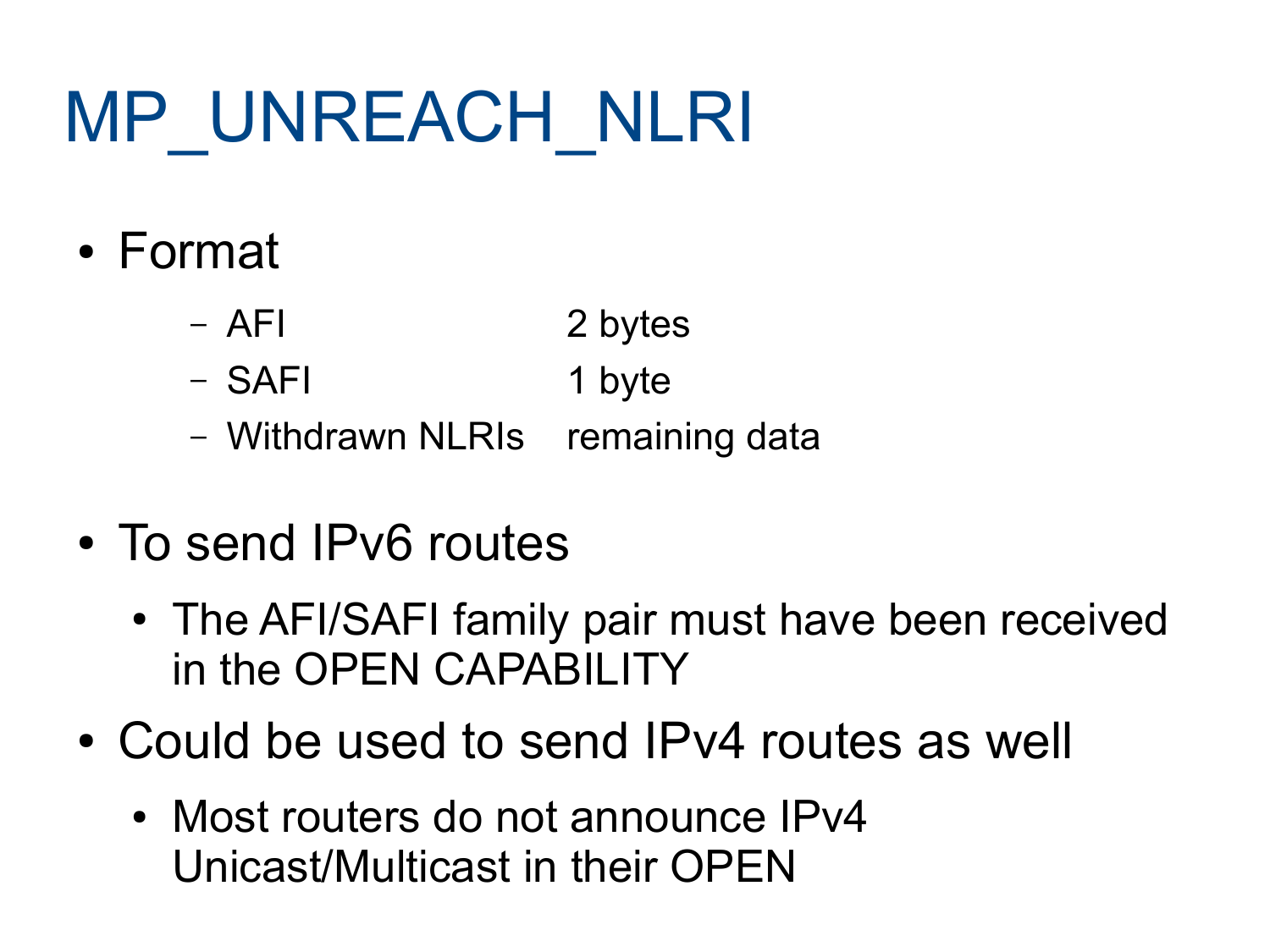# MP\_UNREACH\_NLRI

- Format
	- AFI 2 bytes
	- SAFI 1 byte
	- Withdrawn NLRIs remaining data
- To send IPv6 routes
	- The AFI/SAFI family pair must have been received in the OPEN CAPABILITY
- Could be used to send IPv4 routes as well
	- Most routers do not announce IPv4 Unicast/Multicast in their OPEN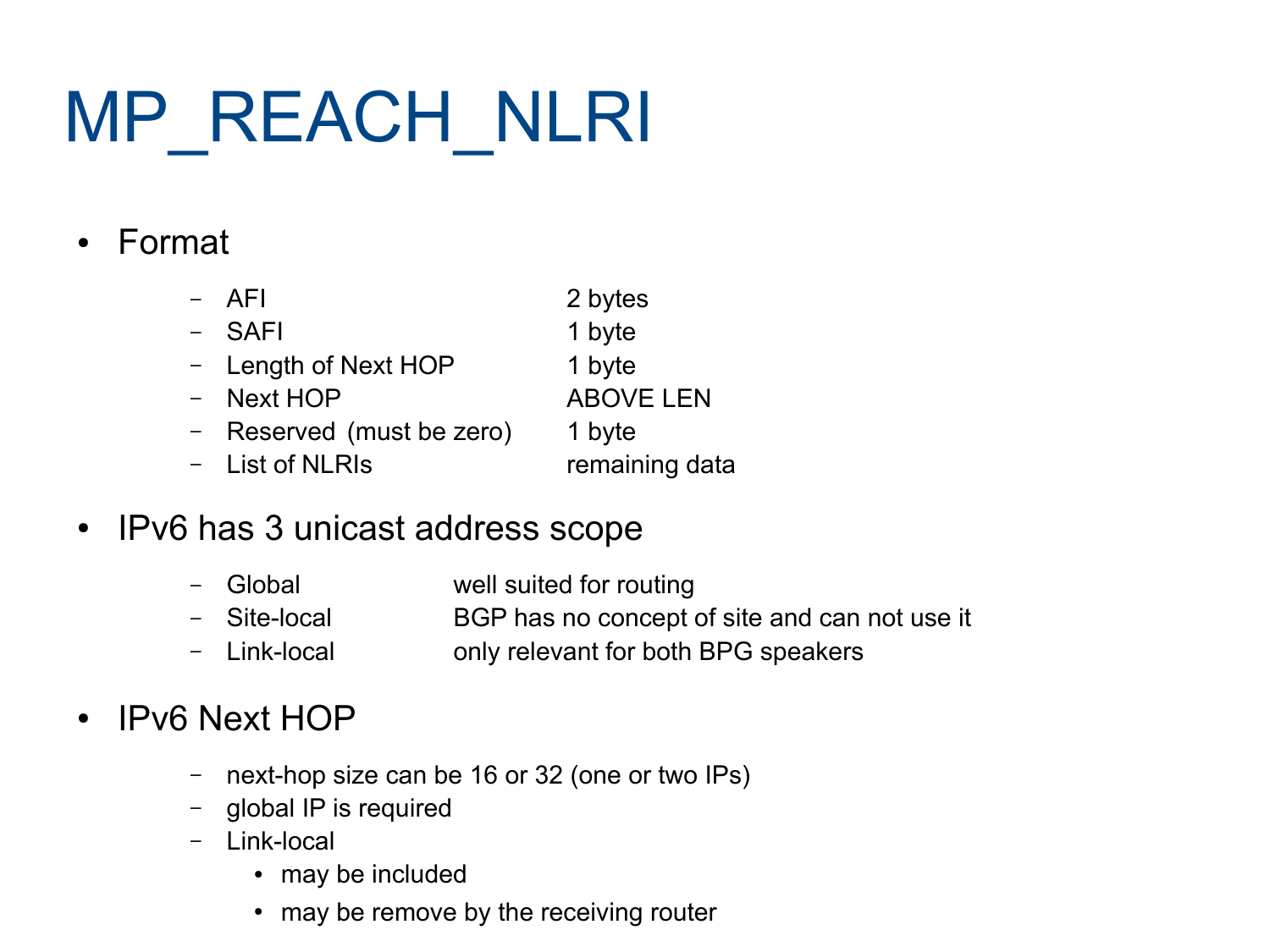# MP\_REACH\_NLRI

#### • Format

| $-$ AFI                   | 2 bytes          |
|---------------------------|------------------|
| - SAFI                    | 1 byte           |
| - Length of Next HOP      | 1 byte           |
| - Next HOP                | <b>ABOVE LEN</b> |
| - Reserved (must be zero) | 1 byte           |
| - List of NLRIs           | remaining data   |

#### • IPv6 has 3 unicast address scope

- Global well suited for routing
- Site-local BGP has no concept of site and can not use it
- Link-local only relevant for both BPG speakers

#### • IPv6 Next HOP

- next-hop size can be 16 or 32 (one or two IPs)
- global IP is required
- Link-local
	- may be included
	- may be remove by the receiving router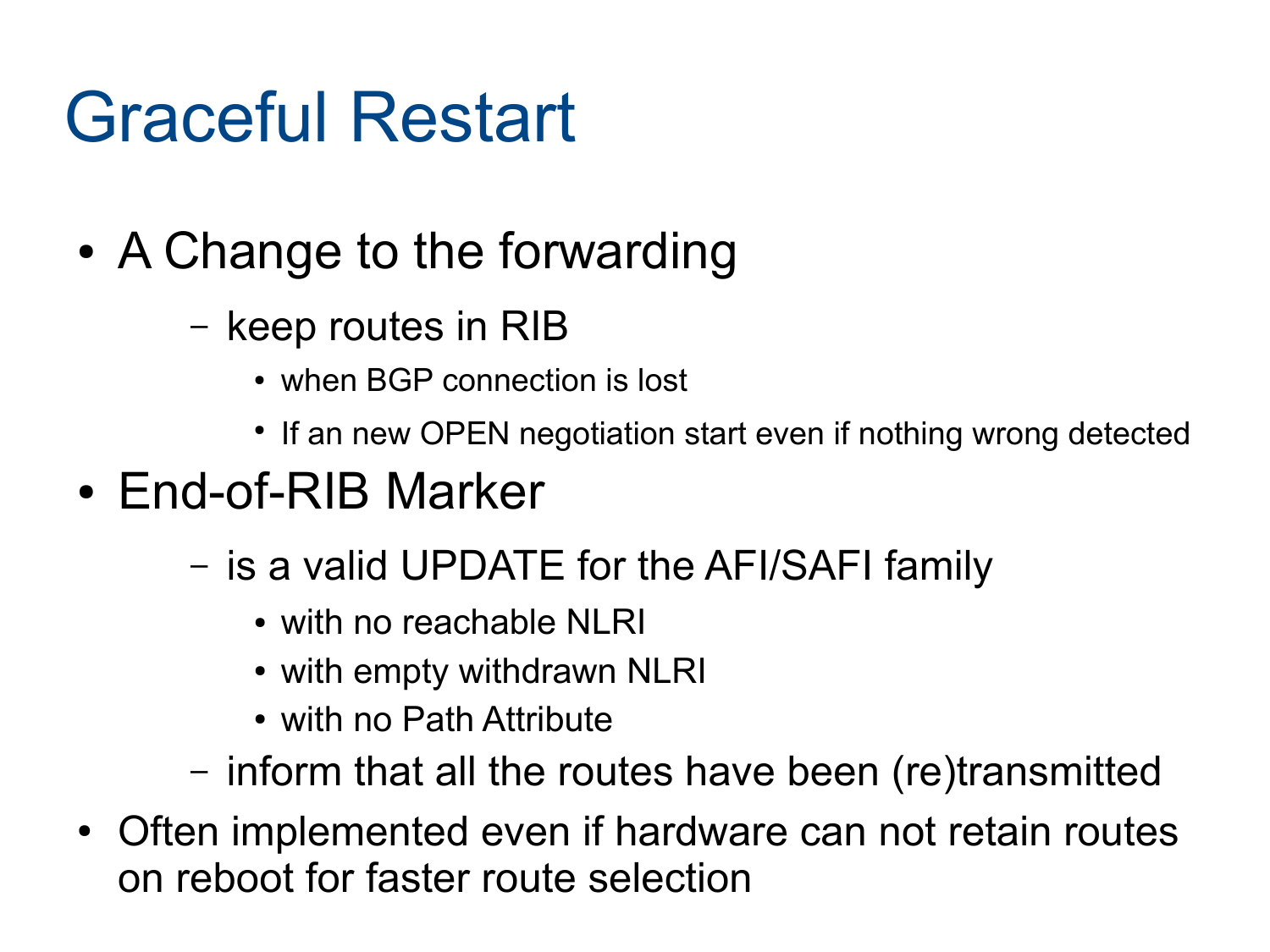#### Graceful Restart

- A Change to the forwarding
	- keep routes in RIB
		- when BGP connection is lost
		- If an new OPEN negotiation start even if nothing wrong detected
- End-of-RIB Marker
	- is a valid UPDATE for the AFI/SAFI family
		- with no reachable NLRI
		- with empty withdrawn NLRI
		- with no Path Attribute
	- inform that all the routes have been (re)transmitted
- Often implemented even if hardware can not retain routes on reboot for faster route selection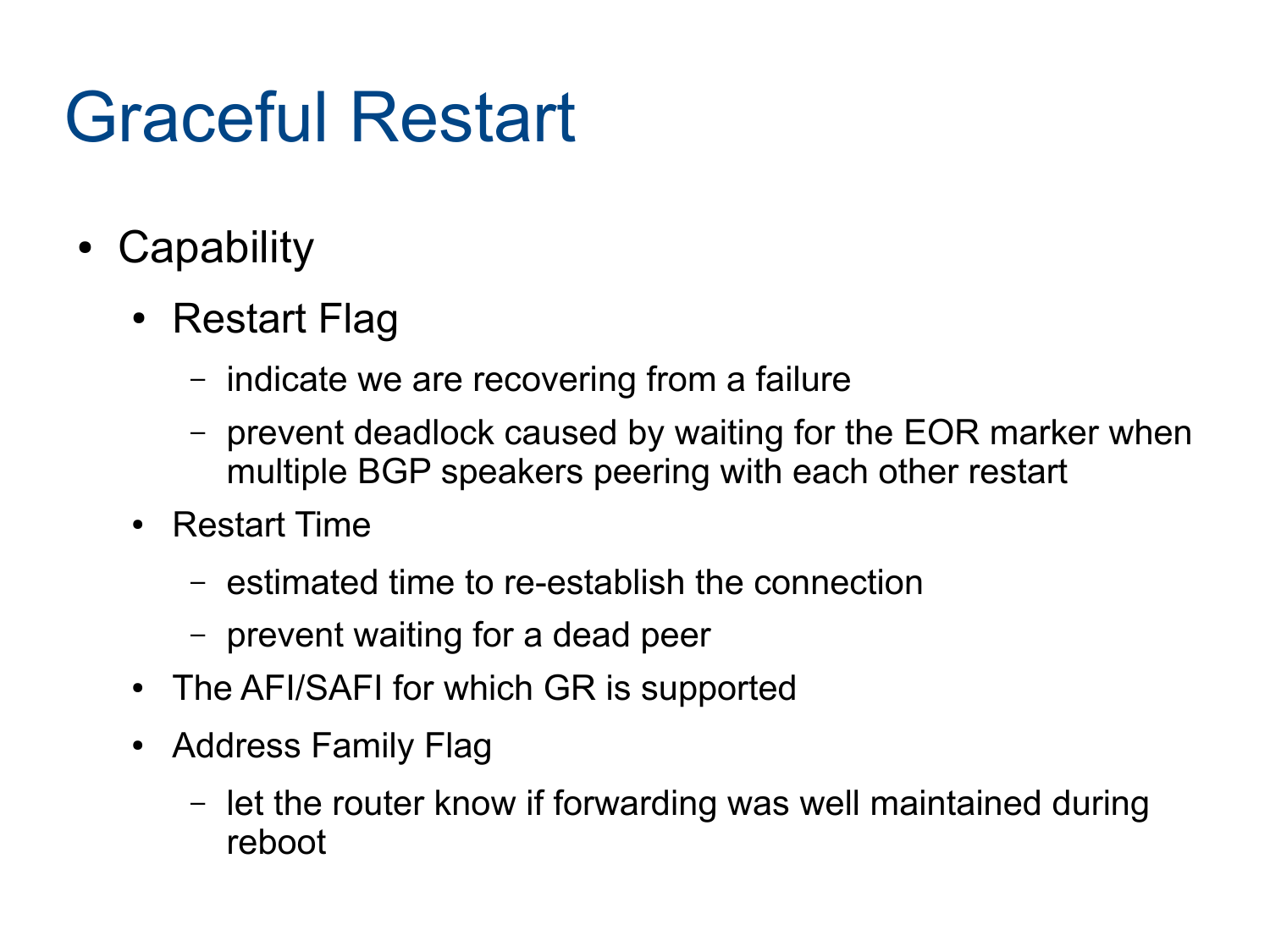#### Graceful Restart

- Capability
	- Restart Flag
		- indicate we are recovering from a failure
		- prevent deadlock caused by waiting for the EOR marker when multiple BGP speakers peering with each other restart
	- Restart Time
		- estimated time to re-establish the connection
		- prevent waiting for a dead peer
	- The AFI/SAFI for which GR is supported
	- Address Family Flag
		- let the router know if forwarding was well maintained during reboot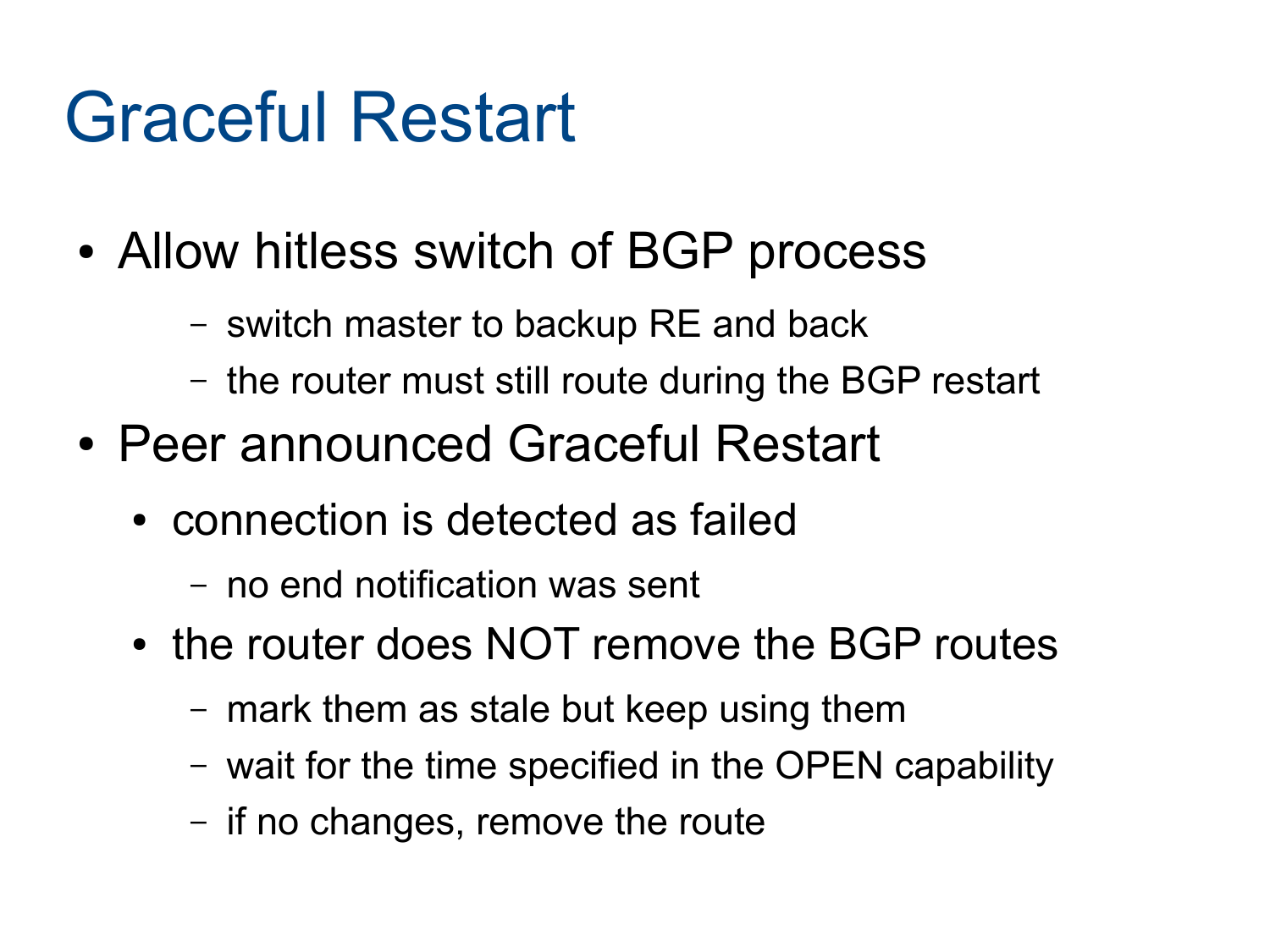#### Graceful Restart

- Allow hitless switch of BGP process
	- switch master to backup RE and back
	- the router must still route during the BGP restart
- Peer announced Graceful Restart
	- connection is detected as failed
		- no end notification was sent
	- the router does NOT remove the BGP routes
		- mark them as stale but keep using them
		- wait for the time specified in the OPEN capability
		- if no changes, remove the route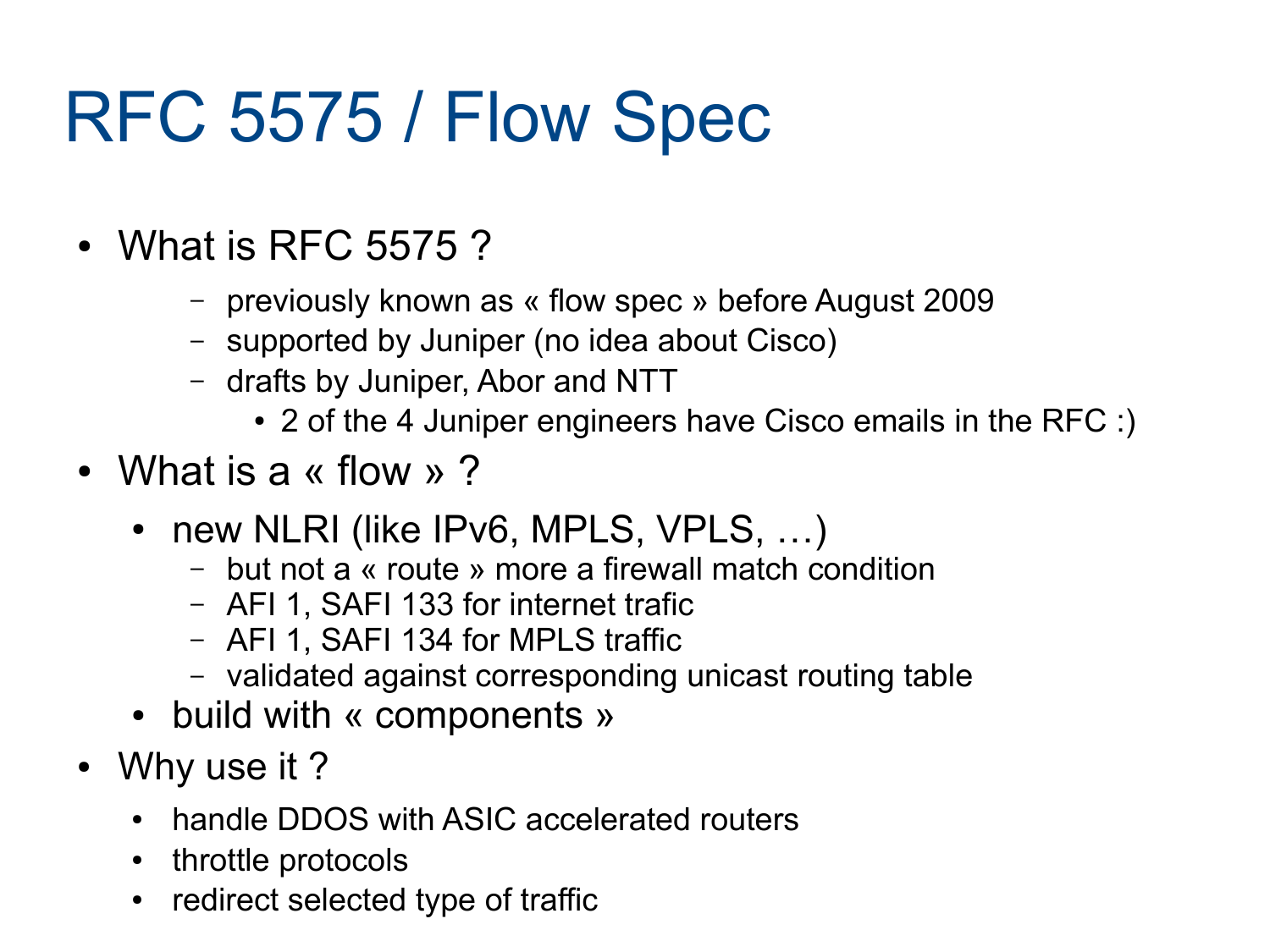#### RFC 5575 / Flow Spec

- What is RFC 5575?
	- previously known as « flow spec » before August 2009
	- supported by Juniper (no idea about Cisco)
	- drafts by Juniper, Abor and NTT
		- 2 of the 4 Juniper engineers have Cisco emails in the RFC :)
- What is a « flow »?
	- new NLRI (like IPv6, MPLS, VPLS, ...)
		- but not a « route » more a firewall match condition
		- AFI 1, SAFI 133 for internet trafic
		- AFI 1, SAFI 134 for MPLS traffic
		- validated against corresponding unicast routing table
	- build with « components »
- Why use it?
	- handle DDOS with ASIC accelerated routers
	- throttle protocols
	- redirect selected type of traffic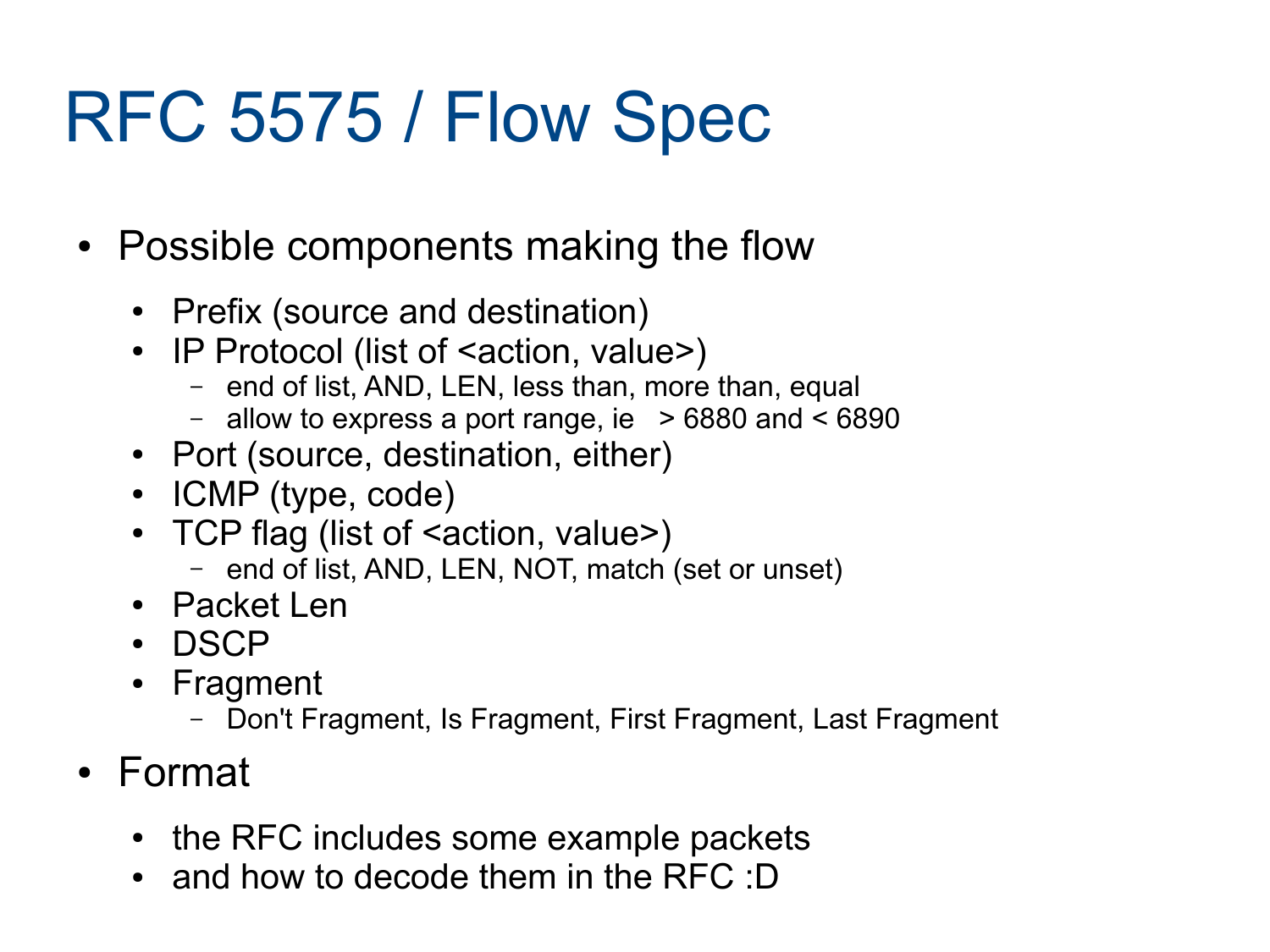#### RFC 5575 / Flow Spec

- Possible components making the flow
	- Prefix (source and destination)
	- IP Protocol (list of <action, value>)
		- end of list, AND, LEN, less than, more than, equal
		- allow to express a port range, ie  $> 6880$  and  $< 6890$
	- Port (source, destination, either)
	- ICMP (type, code)
	- TCP flag (list of <action, value>)
		- end of list, AND, LEN, NOT, match (set or unset)
	- Packet Len
	- DSCP
	- Fragment
		- Don't Fragment, Is Fragment, First Fragment, Last Fragment
- Format
	- the RFC includes some example packets
	- and how to decode them in the RFC :D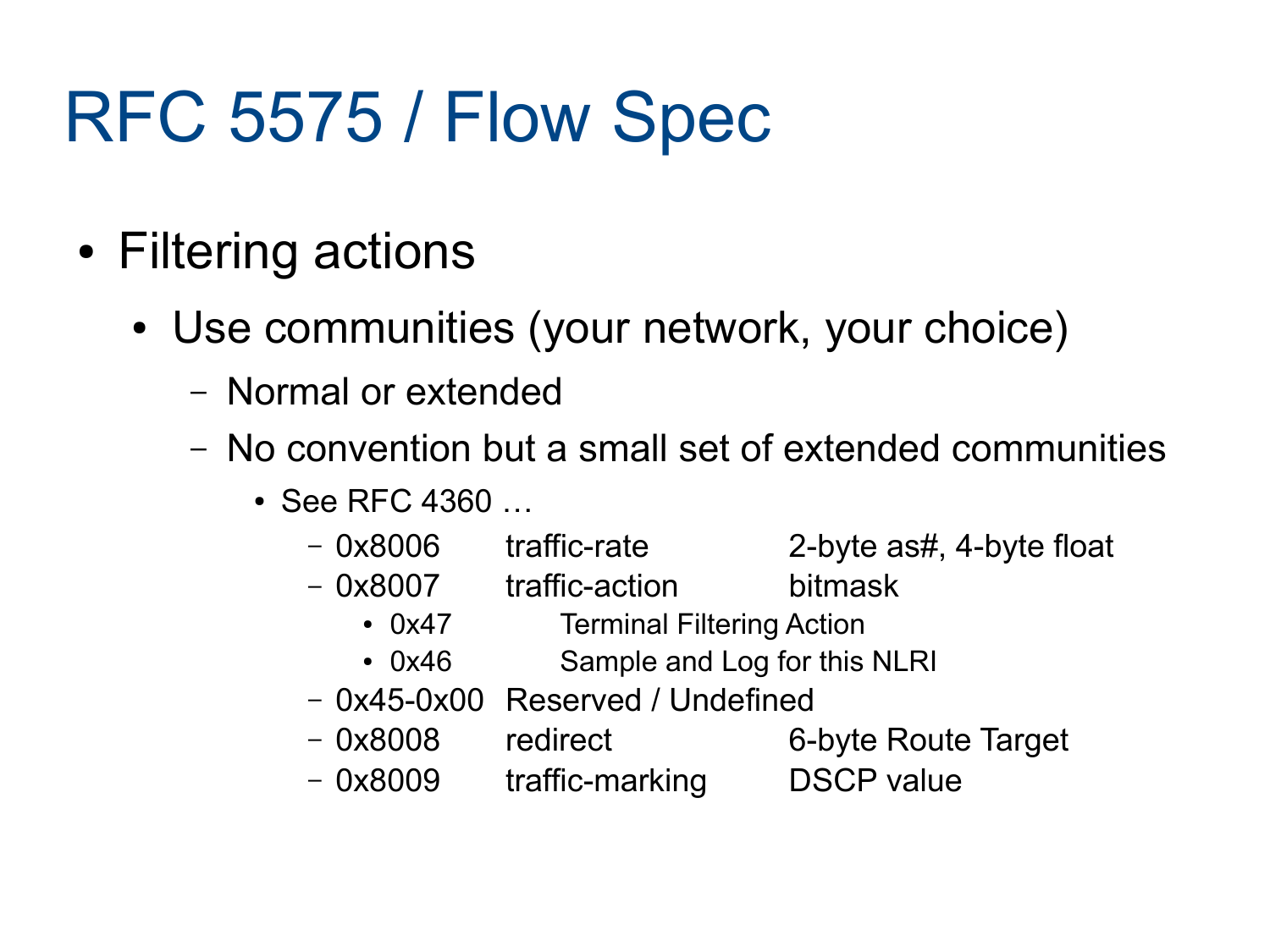#### RFC 5575 / Flow Spec

- Filtering actions
	- Use communities (your network, your choice)
		- Normal or extended
		- No convention but a small set of extended communities
			- $\cdot$  See RFC 4360  $\ldots$ 
				- 0x8006 traffic-rate 2-byte as#, 4-byte float
					-
				- 0x8007 traffic-action bitmask
					- 0x47 Terminal Filtering Action
					- 0x46 Sample and Log for this NLRI
				- 0x45-0x00 Reserved / Undefined
				- 0x8008 redirect 6-byte Route Target
				- 0x8009 traffic-marking DSCP value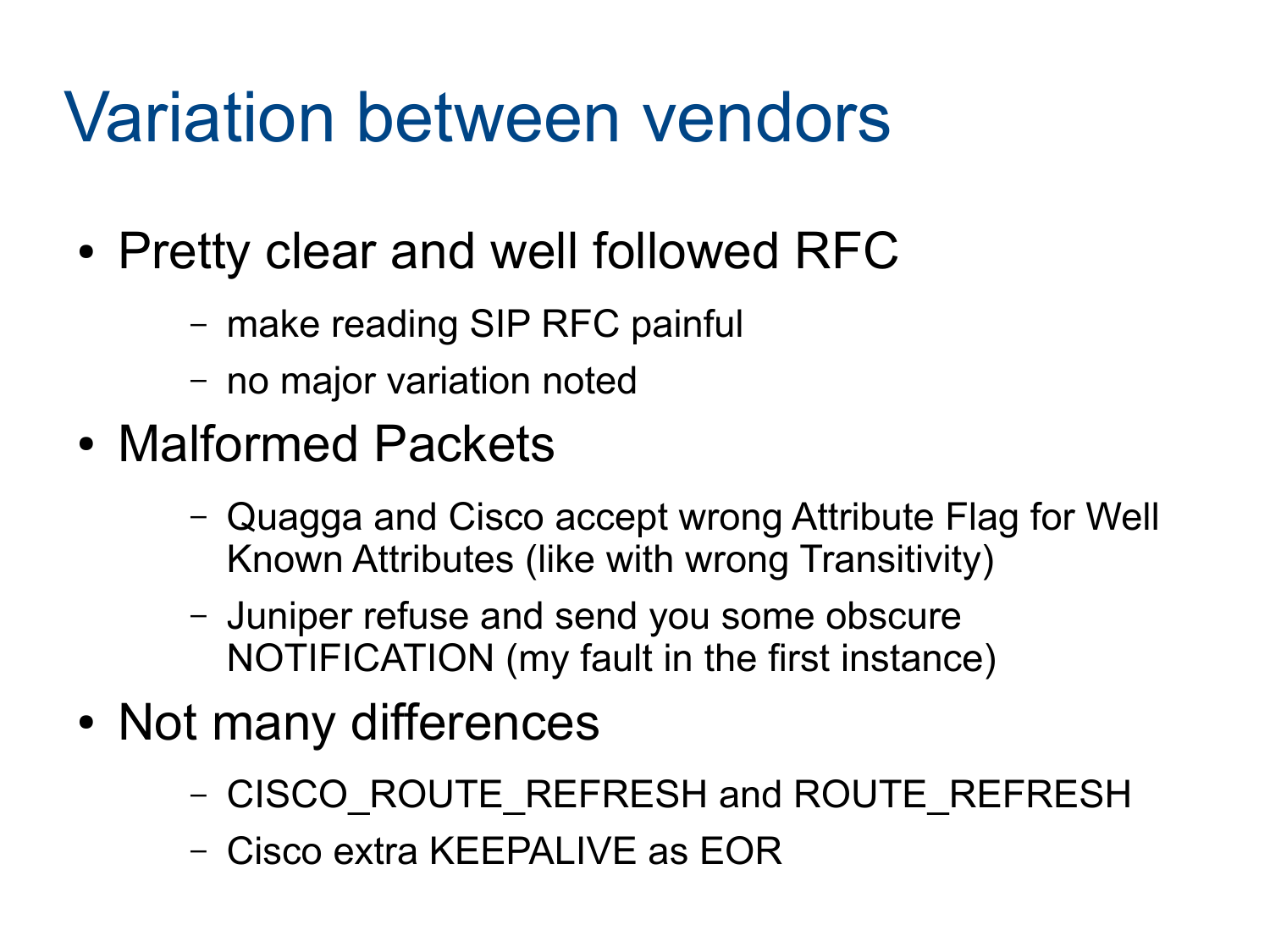#### Variation between vendors

- Pretty clear and well followed RFC
	- make reading SIP RFC painful
	- no major variation noted
- Malformed Packets
	- Quagga and Cisco accept wrong Attribute Flag for Well Known Attributes (like with wrong Transitivity)
	- Juniper refuse and send you some obscure NOTIFICATION (my fault in the first instance)
- Not many differences
	- CISCO\_ROUTE\_REFRESH and ROUTE\_REFRESH
	- Cisco extra KEEPALIVE as EOR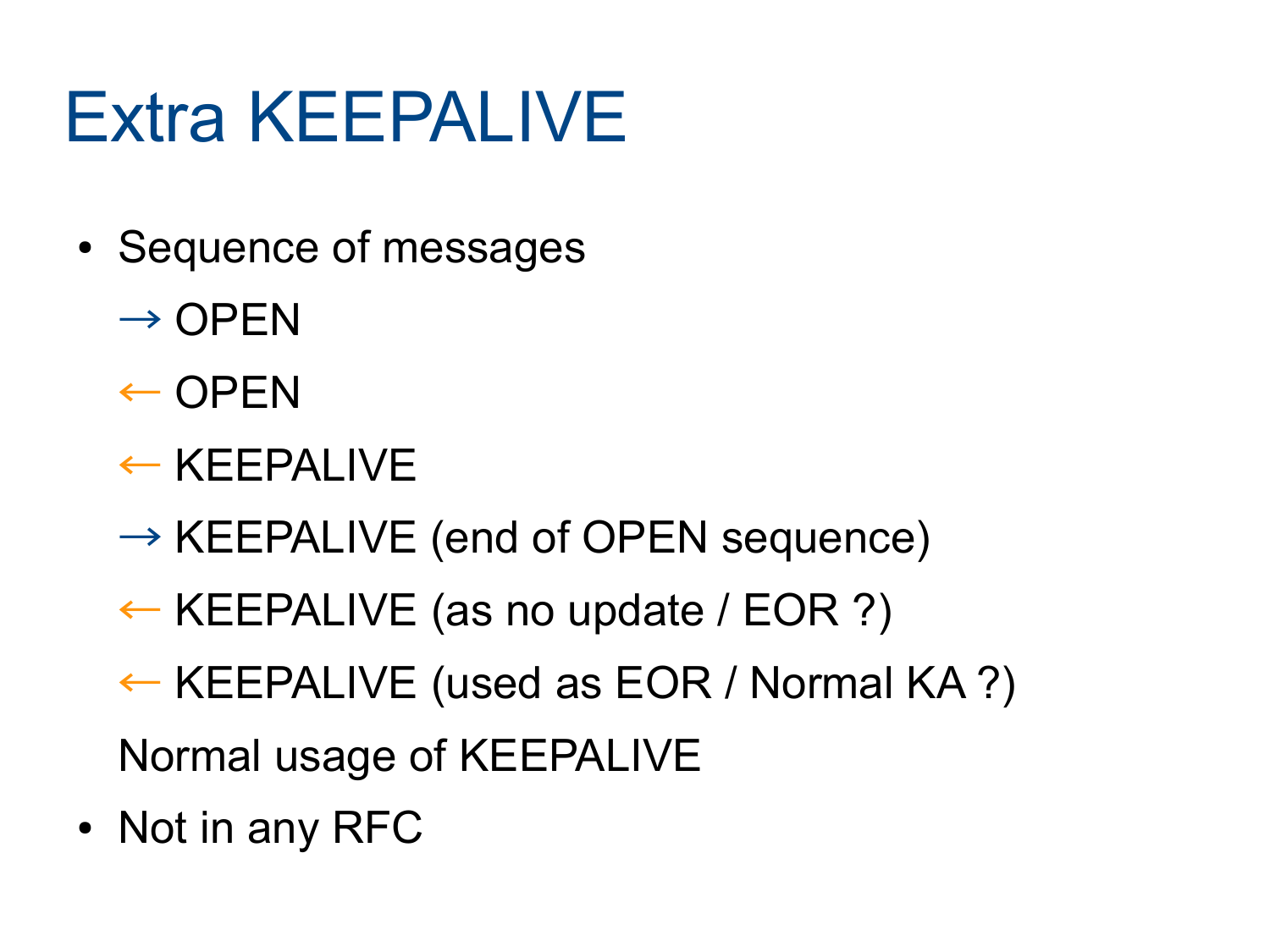#### Extra KEEPALIVE

- Sequence of messages
	- $\rightarrow$  OPEN
	- $\leftarrow$  OPEN
	- ← KEEPALIVE
	- $\rightarrow$  KEEPALIVE (end of OPEN sequence)
	- ← KEEPALIVE (as no update / EOR ?)
	- ← KEEPALIVE (used as EOR / Normal KA ?)

Normal usage of KEEPALIVE

• Not in any RFC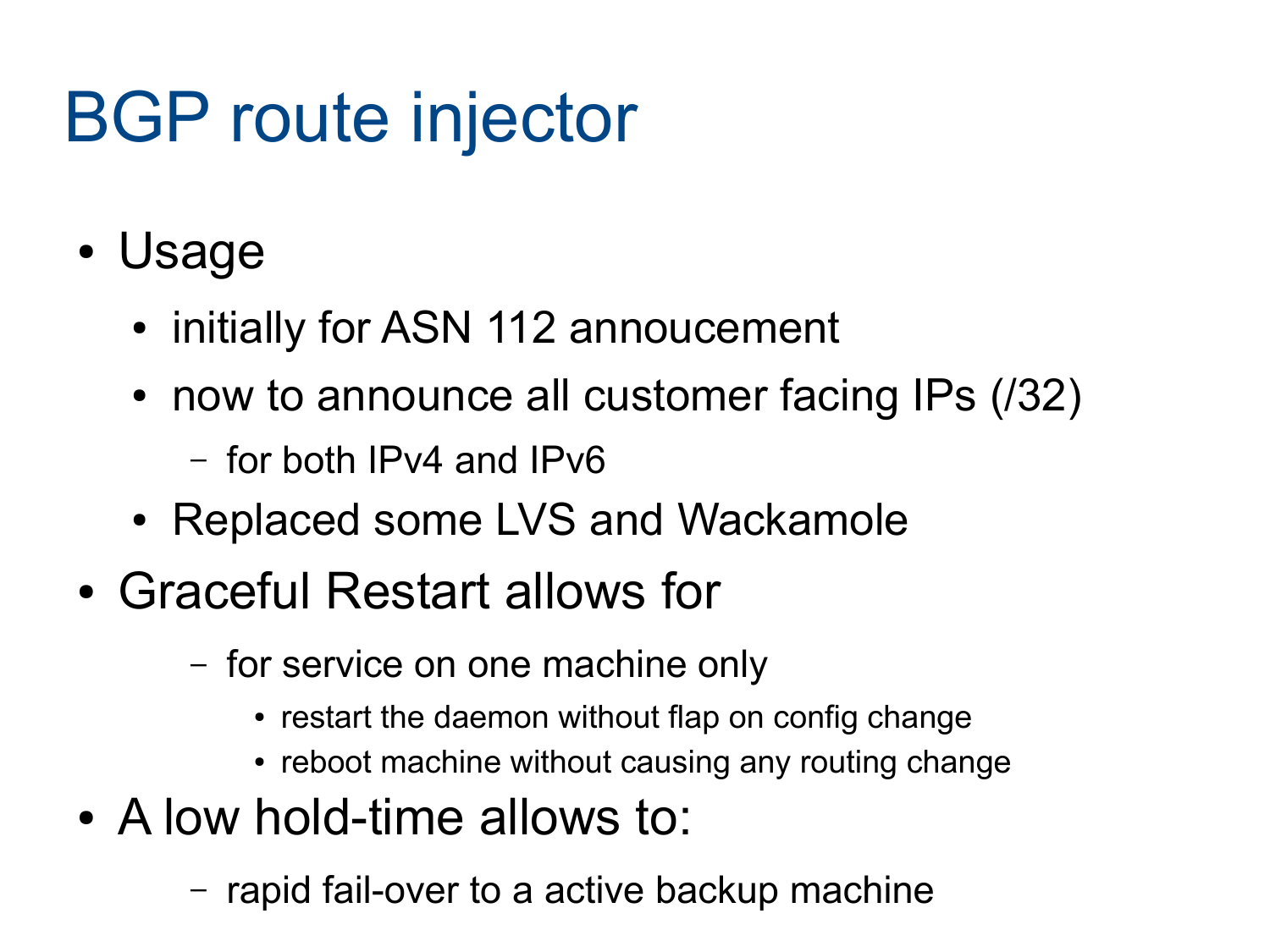### BGP route injector

- Usage
	- initially for ASN 112 annoucement
	- now to announce all customer facing IPs (/32)
		- for both IPv4 and IPv6
	- Replaced some LVS and Wackamole
- Graceful Restart allows for
	- for service on one machine only
		- restart the daemon without flap on config change
		- reboot machine without causing any routing change
- A low hold-time allows to:
	- rapid fail-over to a active backup machine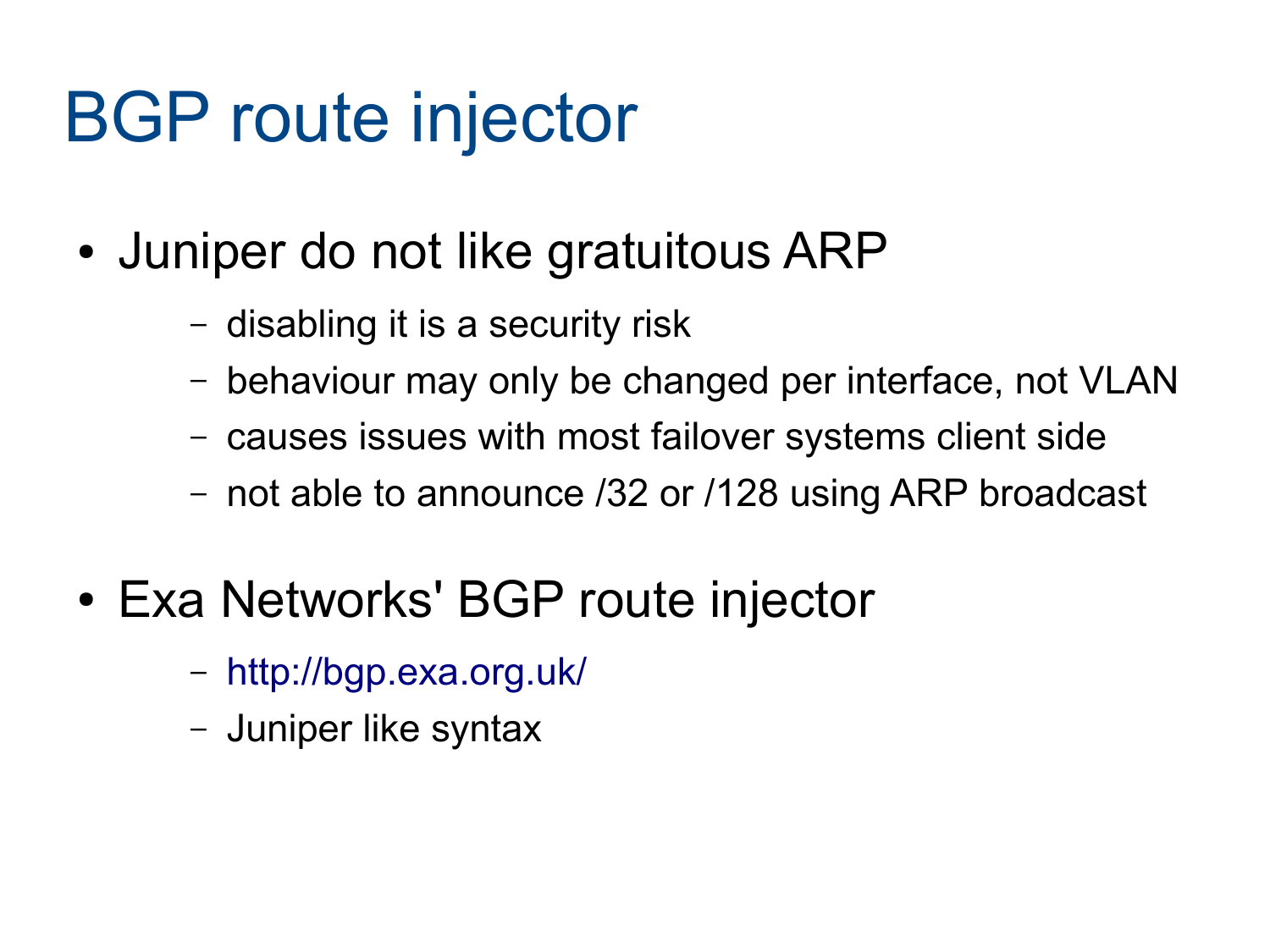#### BGP route injector

- Juniper do not like gratuitous ARP
	- disabling it is a security risk
	- behaviour may only be changed per interface, not VLAN
	- causes issues with most failover systems client side
	- not able to announce /32 or /128 using ARP broadcast
- Exa Networks' BGP route injector
	- <http://bgp.exa.org.uk/>
	- Juniper like syntax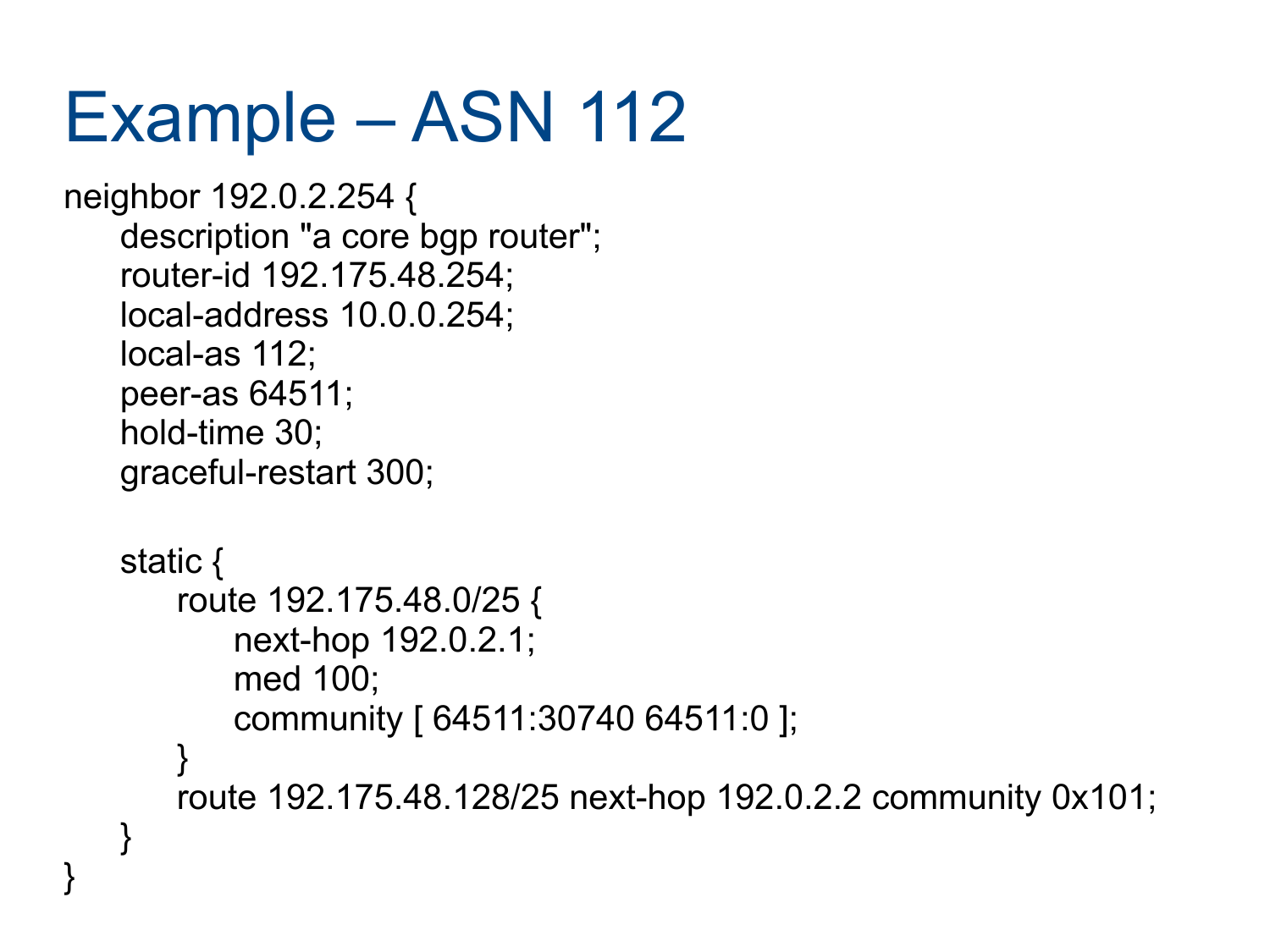#### Example – ASN 112

```
neighbor 192.0.2.254 {
   description "a core bgp router";
   router-id 192.175.48.254;
   local-address 10.0.0.254;
   local-as 112;
   peer-as 64511;
   hold-time 30;
   graceful-restart 300;
   static {
```
}

}

```
route 192.175.48.0/25 {
   next-hop 192.0.2.1;
   med 100;
   community [ 64511:30740 64511:0 ];
```

```
}
route 192.175.48.128/25 next-hop 192.0.2.2 community 0x101;
```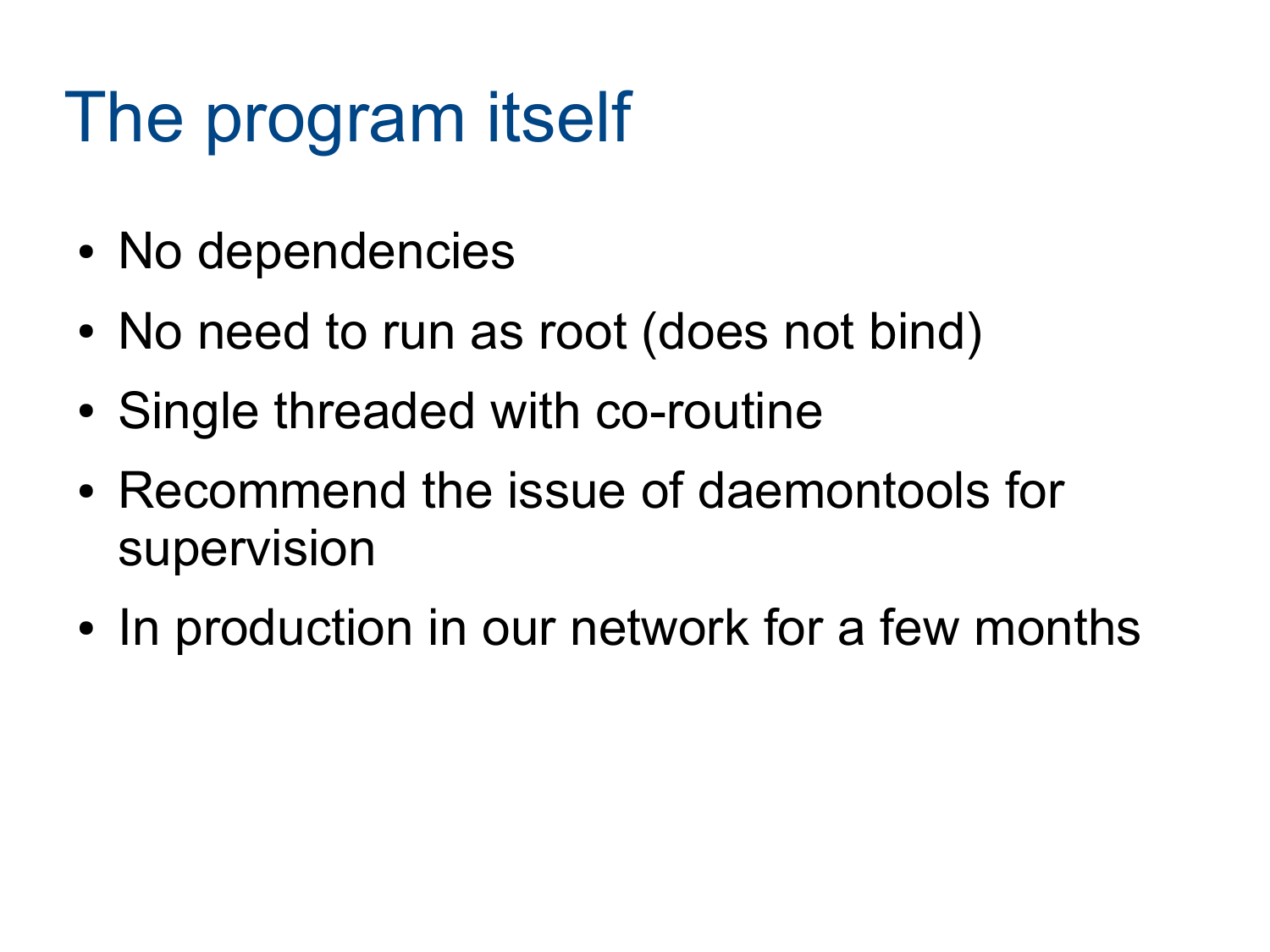#### The program itself

- No dependencies
- No need to run as root (does not bind)
- Single threaded with co-routine
- Recommend the issue of daemontools for supervision
- In production in our network for a few months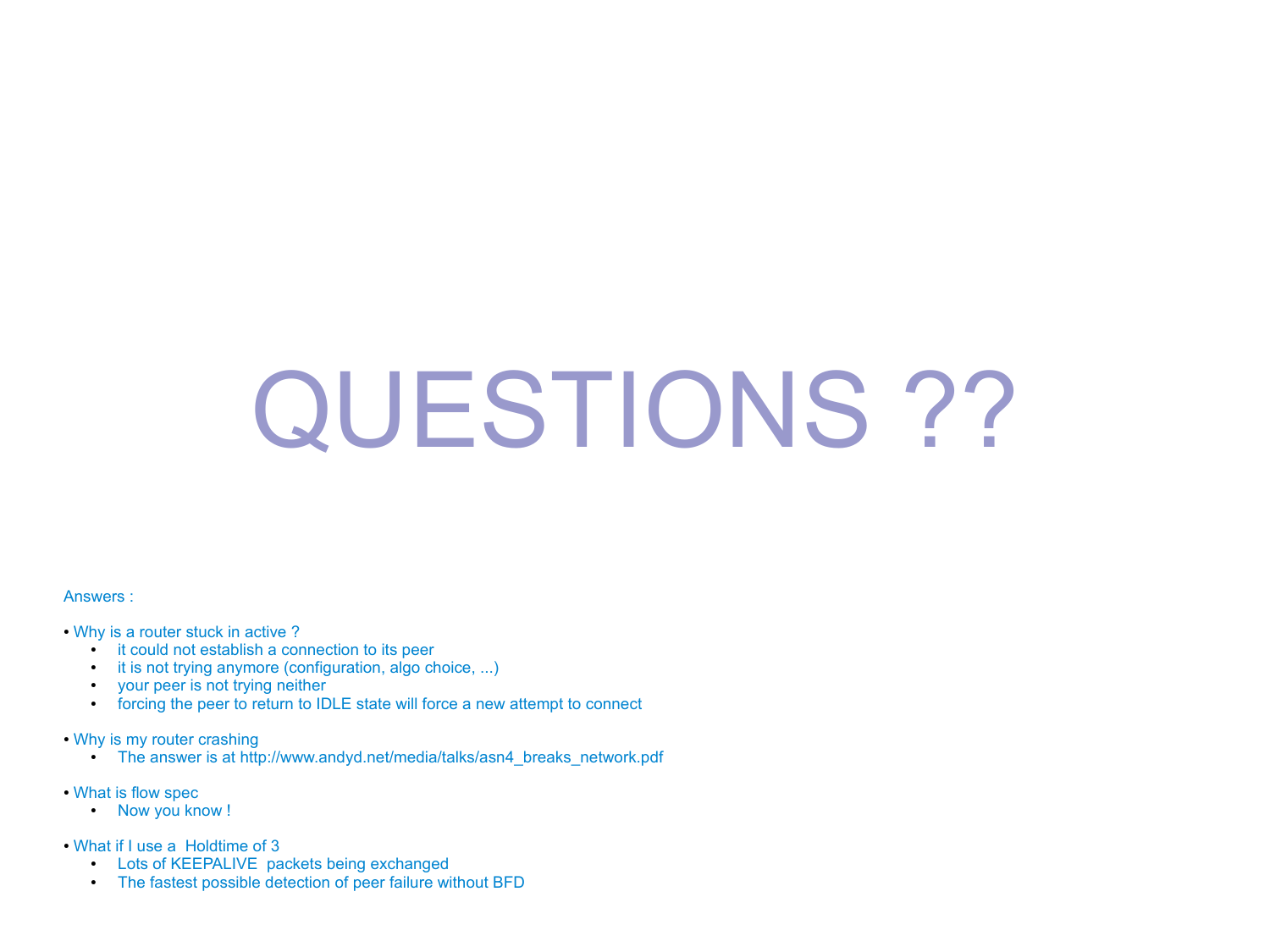# QUESTIONS ??

#### Answers :

- Why is a router stuck in active?
	- it could not establish a connection to its peer
	- it is not trying anymore (configuration, algo choice, ...)
	- your peer is not trying neither
	- forcing the peer to return to IDLE state will force a new attempt to connect
- Why is my router crashing
	- The answer is at http://www.andyd.net/media/talks/asn4\_breaks\_network.pdf
- What is flow spec
	- Now you know !
- What if I use a Holdtime of 3
	- Lots of KEEPALIVE packets being exchanged
	- The fastest possible detection of peer failure without BFD